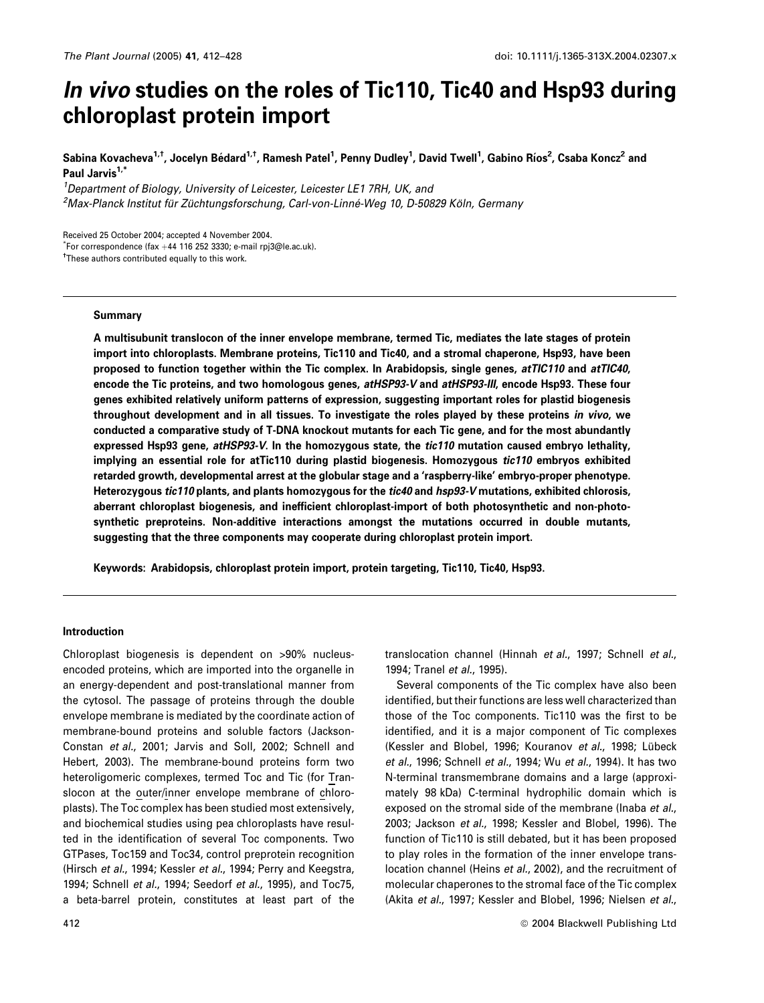# In vivo studies on the roles of Tic110, Tic40 and Hsp93 during chloroplast protein import

Sabina Kovacheva<sup>1,†</sup>, Jocelyn Bédard<sup>1,†</sup>, Ramesh Patel<sup>1</sup>, Penny Dudley<sup>1</sup>, David Twell<sup>1</sup>, Gabino Ríos<sup>2</sup>, Csaba Koncz<sup>2</sup> and Paul Jarvis<sup>1,\*</sup>

<sup>1</sup>Department of Biology, University of Leicester, Leicester LE1 7RH, UK, and <sup>2</sup>Max-Planck Institut für Züchtungsforschung, Carl-von-Linné-Weg 10, D-50829 Köln, Germany

Received 25 October 2004; accepted 4 November 2004.

 $*$ For correspondence (fax +44 116 252 3330; e-mail rpj3@le.ac.uk).

<sup>†</sup>These authors contributed equally to this work.

## Summary

A multisubunit translocon of the inner envelope membrane, termed Tic, mediates the late stages of protein import into chloroplasts. Membrane proteins, Tic110 and Tic40, and a stromal chaperone, Hsp93, have been proposed to function together within the Tic complex. In Arabidopsis, single genes, atTIC110 and atTIC40, encode the Tic proteins, and two homologous genes, atHSP93-V and atHSP93-III, encode Hsp93. These four genes exhibited relatively uniform patterns of expression, suggesting important roles for plastid biogenesis throughout development and in all tissues. To investigate the roles played by these proteins in vivo, we conducted a comparative study of T-DNA knockout mutants for each Tic gene, and for the most abundantly expressed Hsp93 gene, atHSP93-V. In the homozygous state, the tic110 mutation caused embryo lethality, implying an essential role for atTic110 during plastid biogenesis. Homozygous tic110 embryos exhibited retarded growth, developmental arrest at the globular stage and a 'raspberry-like' embryo-proper phenotype. Heterozygous tic110 plants, and plants homozygous for the tic40 and hsp93-V mutations, exhibited chlorosis, aberrant chloroplast biogenesis, and inefficient chloroplast-import of both photosynthetic and non-photosynthetic preproteins. Non-additive interactions amongst the mutations occurred in double mutants, suggesting that the three components may cooperate during chloroplast protein import.

Keywords: Arabidopsis, chloroplast protein import, protein targeting, Tic110, Tic40, Hsp93.

# Introduction

Chloroplast biogenesis is dependent on >90% nucleusencoded proteins, which are imported into the organelle in an energy-dependent and post-translational manner from the cytosol. The passage of proteins through the double envelope membrane is mediated by the coordinate action of membrane-bound proteins and soluble factors (Jackson-Constan et al., 2001; Jarvis and Soll, 2002; Schnell and Hebert, 2003). The membrane-bound proteins form two heteroligomeric complexes, termed Toc and Tic (for Translocon at the outer/inner envelope membrane of chloroplasts). The Toc complex has been studied most extensively, and biochemical studies using pea chloroplasts have resulted in the identification of several Toc components. Two GTPases, Toc159 and Toc34, control preprotein recognition (Hirsch et al., 1994; Kessler et al., 1994; Perry and Keegstra, 1994; Schnell et al., 1994; Seedorf et al., 1995), and Toc75, a beta-barrel protein, constitutes at least part of the

translocation channel (Hinnah et al., 1997; Schnell et al., 1994; Tranel et al., 1995).

Several components of the Tic complex have also been identified, but their functions are less well characterized than those of the Toc components. Tic110 was the first to be identified, and it is a major component of Tic complexes (Kessler and Blobel, 1996; Kouranov et al., 1998; Lübeck et al., 1996; Schnell et al., 1994; Wu et al., 1994). It has two N-terminal transmembrane domains and a large (approximately 98 kDa) C-terminal hydrophilic domain which is exposed on the stromal side of the membrane (Inaba et al., 2003; Jackson et al., 1998; Kessler and Blobel, 1996). The function of Tic110 is still debated, but it has been proposed to play roles in the formation of the inner envelope translocation channel (Heins et al., 2002), and the recruitment of molecular chaperones to the stromal face of the Tic complex (Akita et al., 1997; Kessler and Blobel, 1996; Nielsen et al.,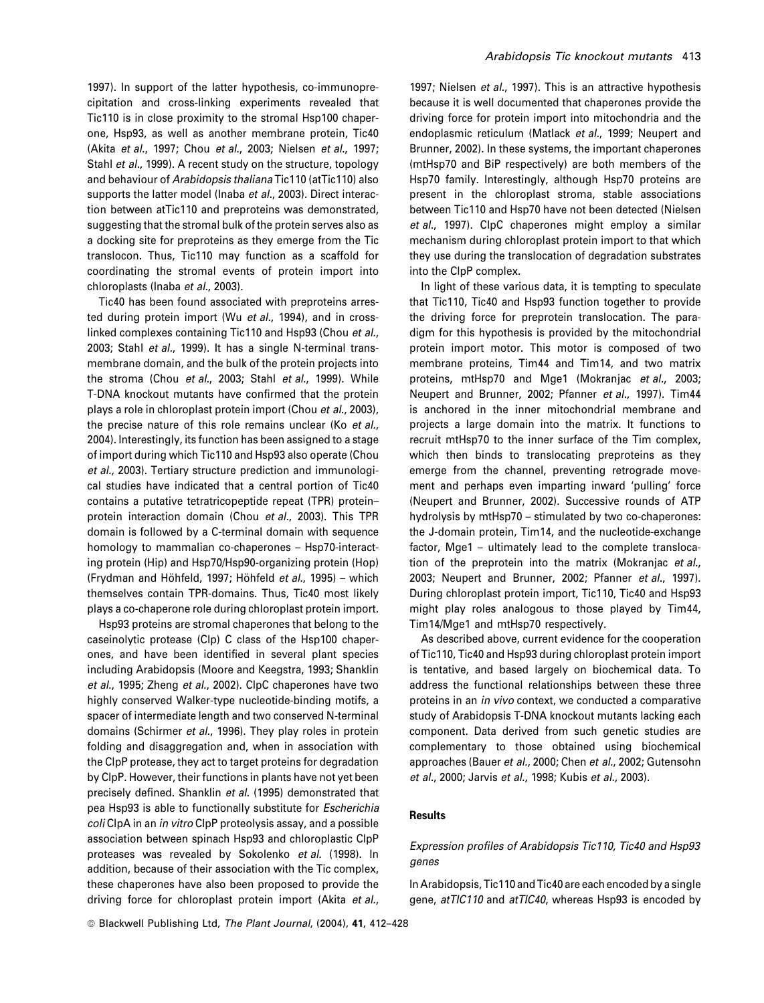1997). In support of the latter hypothesis, co-immunoprecipitation and cross-linking experiments revealed that Tic110 is in close proximity to the stromal Hsp100 chaperone, Hsp93, as well as another membrane protein, Tic40 (Akita et al., 1997; Chou et al., 2003; Nielsen et al., 1997; Stahl et al., 1999). A recent study on the structure, topology and behaviour of Arabidopsis thaliana Tic110 (atTic110) also supports the latter model (Inaba et al., 2003). Direct interaction between atTic110 and preproteins was demonstrated, suggesting that the stromal bulk of the protein serves also as a docking site for preproteins as they emerge from the Tic translocon. Thus, Tic110 may function as a scaffold for coordinating the stromal events of protein import into chloroplasts (Inaba et al., 2003).

Tic40 has been found associated with preproteins arrested during protein import (Wu et al., 1994), and in crosslinked complexes containing Tic110 and Hsp93 (Chou et al., 2003; Stahl et al., 1999). It has a single N-terminal transmembrane domain, and the bulk of the protein projects into the stroma (Chou et al., 2003; Stahl et al., 1999). While T-DNA knockout mutants have confirmed that the protein plays a role in chloroplast protein import (Chou et al., 2003), the precise nature of this role remains unclear (Ko et al., 2004). Interestingly, its function has been assigned to a stage of import during which Tic110 and Hsp93 also operate (Chou et al., 2003). Tertiary structure prediction and immunological studies have indicated that a central portion of Tic40 contains a putative tetratricopeptide repeat (TPR) protein– protein interaction domain (Chou et al., 2003). This TPR domain is followed by a C-terminal domain with sequence homology to mammalian co-chaperones – Hsp70-interacting protein (Hip) and Hsp70/Hsp90-organizing protein (Hop) (Frydman and Höhfeld, 1997; Höhfeld et al., 1995) – which themselves contain TPR-domains. Thus, Tic40 most likely plays a co-chaperone role during chloroplast protein import.

Hsp93 proteins are stromal chaperones that belong to the caseinolytic protease (Clp) C class of the Hsp100 chaperones, and have been identified in several plant species including Arabidopsis (Moore and Keegstra, 1993; Shanklin et al., 1995; Zheng et al., 2002). ClpC chaperones have two highly conserved Walker-type nucleotide-binding motifs, a spacer of intermediate length and two conserved N-terminal domains (Schirmer et al., 1996). They play roles in protein folding and disaggregation and, when in association with the ClpP protease, they act to target proteins for degradation by ClpP. However, their functions in plants have not yet been precisely defined. Shanklin et al. (1995) demonstrated that pea Hsp93 is able to functionally substitute for *Escherichia* coli ClpA in an in vitro ClpP proteolysis assay, and a possible association between spinach Hsp93 and chloroplastic ClpP proteases was revealed by Sokolenko et al. (1998). In addition, because of their association with the Tic complex, these chaperones have also been proposed to provide the driving force for chloroplast protein import (Akita et al.,

1997; Nielsen et al., 1997). This is an attractive hypothesis because it is well documented that chaperones provide the driving force for protein import into mitochondria and the endoplasmic reticulum (Matlack et al., 1999; Neupert and Brunner, 2002). In these systems, the important chaperones (mtHsp70 and BiP respectively) are both members of the Hsp70 family. Interestingly, although Hsp70 proteins are present in the chloroplast stroma, stable associations between Tic110 and Hsp70 have not been detected (Nielsen et al., 1997). ClpC chaperones might employ a similar mechanism during chloroplast protein import to that which they use during the translocation of degradation substrates into the ClpP complex.

In light of these various data, it is tempting to speculate that Tic110, Tic40 and Hsp93 function together to provide the driving force for preprotein translocation. The paradigm for this hypothesis is provided by the mitochondrial protein import motor. This motor is composed of two membrane proteins, Tim44 and Tim14, and two matrix proteins, mtHsp70 and Mge1 (Mokranjac et al., 2003; Neupert and Brunner, 2002; Pfanner et al., 1997). Tim44 is anchored in the inner mitochondrial membrane and projects a large domain into the matrix. It functions to recruit mtHsp70 to the inner surface of the Tim complex, which then binds to translocating preproteins as they emerge from the channel, preventing retrograde movement and perhaps even imparting inward 'pulling' force (Neupert and Brunner, 2002). Successive rounds of ATP hydrolysis by mtHsp70 – stimulated by two co-chaperones: the J-domain protein, Tim14, and the nucleotide-exchange factor, Mge1 – ultimately lead to the complete translocation of the preprotein into the matrix (Mokranjac et al., 2003; Neupert and Brunner, 2002; Pfanner et al., 1997). During chloroplast protein import, Tic110, Tic40 and Hsp93 might play roles analogous to those played by Tim44, Tim14/Mge1 and mtHsp70 respectively.

As described above, current evidence for the cooperation of Tic110, Tic40 and Hsp93 during chloroplast protein import is tentative, and based largely on biochemical data. To address the functional relationships between these three proteins in an in vivo context, we conducted a comparative study of Arabidopsis T-DNA knockout mutants lacking each component. Data derived from such genetic studies are complementary to those obtained using biochemical approaches (Bauer et al., 2000; Chen et al., 2002; Gutensohn et al., 2000; Jarvis et al., 1998; Kubis et al., 2003).

## **Results**

# Expression profiles of Arabidopsis Tic110, Tic40 and Hsp93 genes

In Arabidopsis, Tic110 and Tic40 are each encoded by a single gene, atTIC110 and atTIC40, whereas Hsp93 is encoded by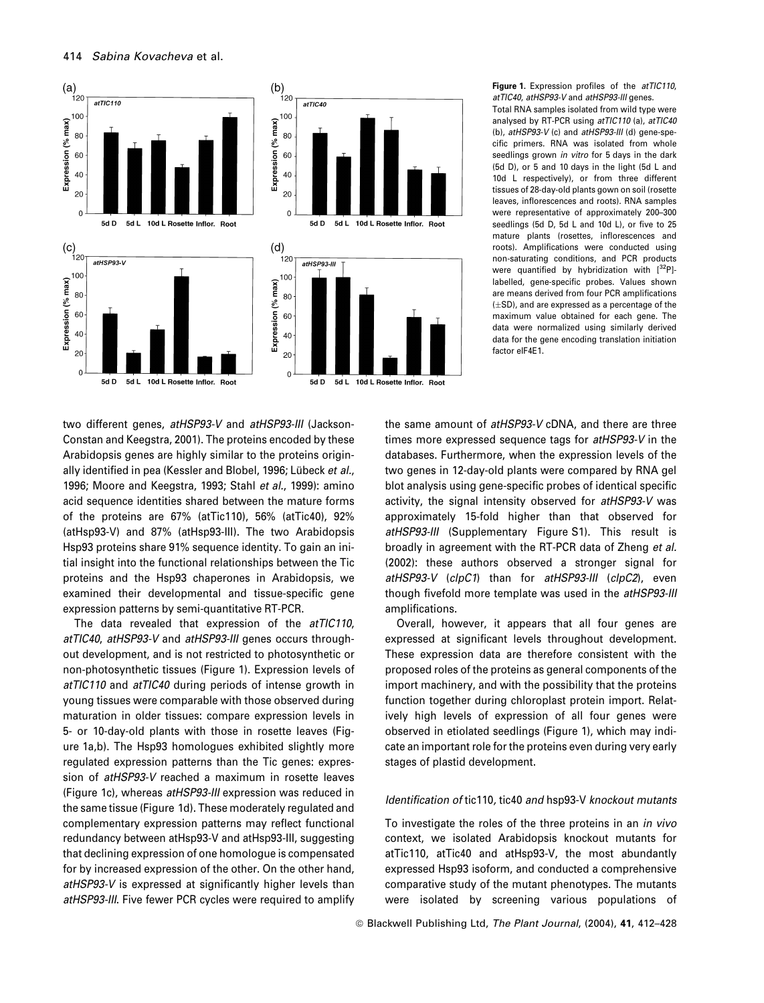

Total RNA samples isolated from wild type were analysed by RT-PCR using atTIC110 (a), atTIC40 (b), atHSP93-V (c) and atHSP93-III (d) gene-specific primers. RNA was isolated from whole seedlings grown *in vitro* for 5 days in the dark (5d D), or 5 and 10 days in the light (5d L and 10d L respectively), or from three different tissues of 28-day-old plants gown on soil (rosette leaves, inflorescences and roots). RNA samples were representative of approximately 200–300 seedlings (5d D, 5d L and 10d L), or five to 25 mature plants (rosettes, inflorescences and roots). Amplifications were conducted using non-saturating conditions, and PCR products were quantified by hybridization with  $[{}^{32}P]$ labelled, gene-specific probes. Values shown are means derived from four PCR amplifications  $(\pm SD)$ , and are expressed as a percentage of the maximum value obtained for each gene. The data were normalized using similarly derived data for the gene encoding translation initiation factor eIF4E1.

two different genes, atHSP93-V and atHSP93-III (Jackson-Constan and Keegstra, 2001). The proteins encoded by these Arabidopsis genes are highly similar to the proteins originally identified in pea (Kessler and Blobel, 1996; Lübeck et al., 1996; Moore and Keegstra, 1993; Stahl et al., 1999): amino acid sequence identities shared between the mature forms of the proteins are 67% (atTic110), 56% (atTic40), 92% (atHsp93-V) and 87% (atHsp93-III). The two Arabidopsis Hsp93 proteins share 91% sequence identity. To gain an initial insight into the functional relationships between the Tic proteins and the Hsp93 chaperones in Arabidopsis, we examined their developmental and tissue-specific gene expression patterns by semi-quantitative RT-PCR.

The data revealed that expression of the atTIC110, atTIC40, atHSP93-V and atHSP93-III genes occurs throughout development, and is not restricted to photosynthetic or non-photosynthetic tissues (Figure 1). Expression levels of atTIC110 and atTIC40 during periods of intense growth in young tissues were comparable with those observed during maturation in older tissues: compare expression levels in 5- or 10-day-old plants with those in rosette leaves (Figure 1a,b). The Hsp93 homologues exhibited slightly more regulated expression patterns than the Tic genes: expression of atHSP93-V reached a maximum in rosette leaves (Figure 1c), whereas atHSP93-III expression was reduced in the same tissue (Figure 1d). These moderately regulated and complementary expression patterns may reflect functional redundancy between atHsp93-V and atHsp93-III, suggesting that declining expression of one homologue is compensated for by increased expression of the other. On the other hand, atHSP93-V is expressed at significantly higher levels than atHSP93-III. Five fewer PCR cycles were required to amplify

the same amount of atHSP93-V cDNA, and there are three times more expressed sequence tags for atHSP93-V in the databases. Furthermore, when the expression levels of the two genes in 12-day-old plants were compared by RNA gel blot analysis using gene-specific probes of identical specific activity, the signal intensity observed for atHSP93-V was approximately 15-fold higher than that observed for atHSP93-III (Supplementary Figure S1). This result is broadly in agreement with the RT-PCR data of Zheng et al. (2002): these authors observed a stronger signal for atHSP93-V (clpC1) than for atHSP93-III (clpC2), even though fivefold more template was used in the atHSP93-III amplifications.

Overall, however, it appears that all four genes are expressed at significant levels throughout development. These expression data are therefore consistent with the proposed roles of the proteins as general components of the import machinery, and with the possibility that the proteins function together during chloroplast protein import. Relatively high levels of expression of all four genes were observed in etiolated seedlings (Figure 1), which may indicate an important role for the proteins even during very early stages of plastid development.

# Identification of tic110, tic40 and hsp93-V knockout mutants

To investigate the roles of the three proteins in an in vivo context, we isolated Arabidopsis knockout mutants for atTic110, atTic40 and atHsp93-V, the most abundantly expressed Hsp93 isoform, and conducted a comprehensive comparative study of the mutant phenotypes. The mutants were isolated by screening various populations of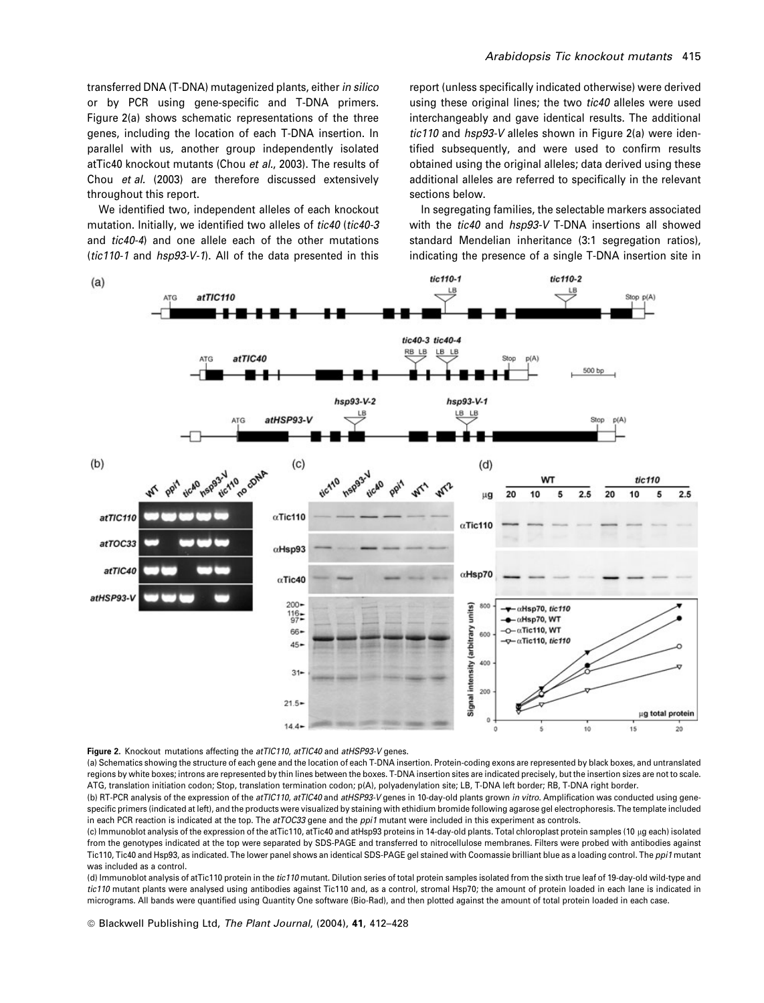transferred DNA (T-DNA) mutagenized plants, either in silico or by PCR using gene-specific and T-DNA primers. Figure 2(a) shows schematic representations of the three genes, including the location of each T-DNA insertion. In parallel with us, another group independently isolated atTic40 knockout mutants (Chou et al., 2003). The results of Chou et al. (2003) are therefore discussed extensively throughout this report.

We identified two, independent alleles of each knockout mutation. Initially, we identified two alleles of tic40 (tic40-3) and tic40-4) and one allele each of the other mutations (tic110-1 and hsp93-V-1). All of the data presented in this

report (unless specifically indicated otherwise) were derived using these original lines; the two tic40 alleles were used interchangeably and gave identical results. The additional tic110 and hsp93-V alleles shown in Figure 2(a) were identified subsequently, and were used to confirm results obtained using the original alleles; data derived using these additional alleles are referred to specifically in the relevant sections below.

In segregating families, the selectable markers associated with the *tic40* and *hsp93-V* T-DNA insertions all showed standard Mendelian inheritance (3:1 segregation ratios), indicating the presence of a single T-DNA insertion site in



Figure 2. Knockout mutations affecting the atTIC110, atTIC40 and atHSP93-V genes.

(a) Schematics showing the structure of each gene and the location of each T-DNA insertion. Protein-coding exons are represented by black boxes, and untranslated regions by white boxes; introns are represented by thin lines between the boxes. T-DNA insertion sites are indicated precisely, but the insertion sizes are not to scale. ATG, translation initiation codon; Stop, translation termination codon; p(A), polyadenylation site; LB, T-DNA left border; RB, T-DNA right border.

(b) RT-PCR analysis of the expression of the atTIC110, atTIC40 and atHSP93-V genes in 10-day-old plants grown in vitro. Amplification was conducted using genespecific primers (indicated at left), and the products were visualized by staining with ethidium bromide following agarose gel electrophoresis. The template included in each PCR reaction is indicated at the top. The atTOC33 gene and the ppi1 mutant were included in this experiment as controls.

(c) Immunoblot analysis of the expression of the atTic110, atTic40 and atHsp93 proteins in 14-day-old plants. Total chloroplast protein samples (10 lg each) isolated from the genotypes indicated at the top were separated by SDS-PAGE and transferred to nitrocellulose membranes. Filters were probed with antibodies against Tic110, Tic40 and Hsp93, as indicated. The lower panel shows an identical SDS-PAGE gel stained with Coomassie brilliant blue as a loading control. The ppi1 mutant was included as a control.

(d) Immunoblot analysis of atTic110 protein in the tic110 mutant. Dilution series of total protein samples isolated from the sixth true leaf of 19-day-old wild-type and tic110 mutant plants were analysed using antibodies against Tic110 and, as a control, stromal Hsp70; the amount of protein loaded in each lane is indicated in micrograms. All bands were quantified using Quantity One software (Bio-Rad), and then plotted against the amount of total protein loaded in each case.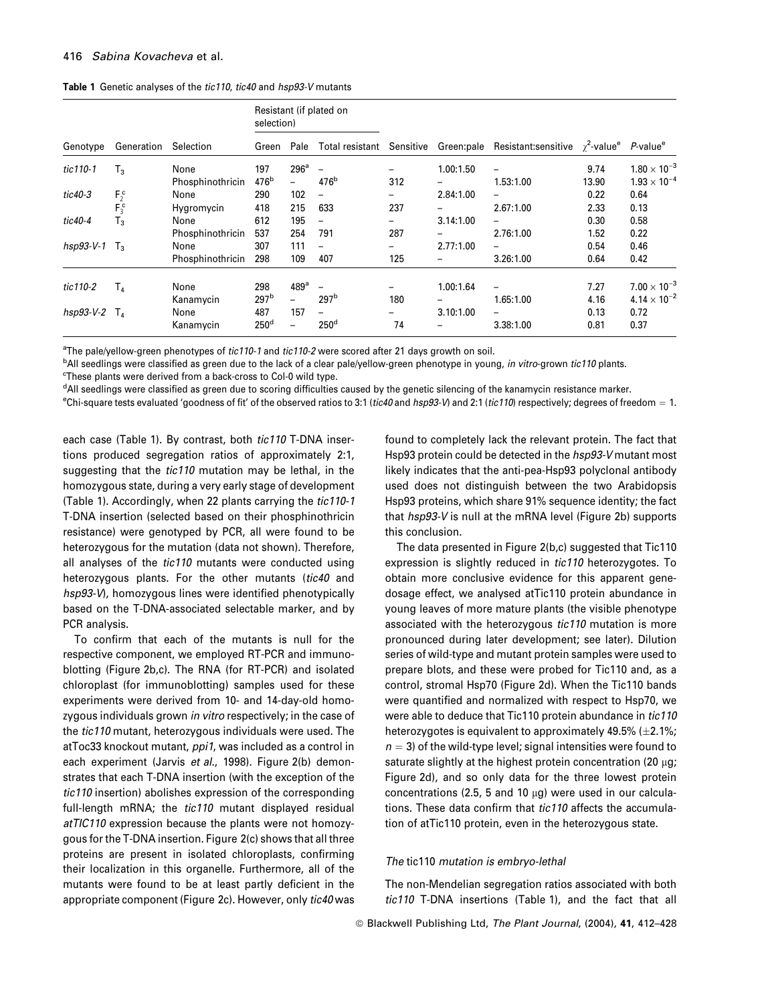# 416 Sabina Kovacheva et al.

Table 1 Genetic analyses of the tic110, tic40 and hsp93-V mutants

|                 | Generation | Selection        | Resistant (if plated on<br>selection) |                          |                          |           |           |                                                                                      |       |                       |
|-----------------|------------|------------------|---------------------------------------|--------------------------|--------------------------|-----------|-----------|--------------------------------------------------------------------------------------|-------|-----------------------|
| Genotype        |            |                  | Green                                 | Pale                     | Total resistant          | Sensitive |           | Green: pale Resistant: sensitive $\gamma^2$ -value <sup>e</sup> P-value <sup>e</sup> |       |                       |
| tic110-1        | $T_3$      | None             | 197                                   | 296 <sup>a</sup>         | $\overline{\phantom{0}}$ |           | 1.00:1.50 |                                                                                      | 9.74  | $1.80 \times 10^{-3}$ |
|                 |            | Phosphinothricin | 476 <sup>b</sup>                      | $\overline{\phantom{0}}$ | 476 <sup>b</sup>         | 312       |           | 1.53:1.00                                                                            | 13.90 | $1.93 \times 10^{-4}$ |
| tic40-3         | $F_2^c$    | None             | 290                                   | 102                      | $\overline{\phantom{0}}$ | -         | 2.84:1.00 |                                                                                      | 0.22  | 0.64                  |
|                 | $F_3^c$    | Hygromycin       | 418                                   | 215                      | 633                      | 237       |           | 2.67:1.00                                                                            | 2.33  | 0.13                  |
| tic40-4         | $T_3$      | None             | 612                                   | 195                      | $\overline{\phantom{0}}$ |           | 3.14:1.00 |                                                                                      | 0.30  | 0.58                  |
|                 |            | Phosphinothricin | 537                                   | 254                      | 791                      | 287       |           | 2.76:1.00                                                                            | 1.52  | 0.22                  |
| hsp93-V-1       | T,         | None             | 307                                   | 111                      | $\overline{\phantom{0}}$ | -         | 2.77:1.00 |                                                                                      | 0.54  | 0.46                  |
|                 |            | Phosphinothricin | 298                                   | 109                      | 407                      | 125       |           | 3.26:1.00                                                                            | 0.64  | 0.42                  |
| tic110-2        | $T_{4}$    | None             | 298                                   | 489a                     | $\overline{\phantom{0}}$ |           | 1.00:1.64 |                                                                                      | 7.27  | $7.00 \times 10^{-3}$ |
|                 |            | Kanamycin        | 297 <sup>b</sup>                      | $\overline{\phantom{0}}$ | 297 <sup>b</sup>         | 180       |           | 1.65:1.00                                                                            | 4.16  | $4.14 \times 10^{-2}$ |
| hsp93-V-2 $T_4$ |            | None             | 487                                   | 157                      | $\overline{\phantom{m}}$ | -         | 3.10:1.00 |                                                                                      | 0.13  | 0.72                  |
|                 |            | Kanamycin        | 250 <sup>d</sup>                      | $\overline{\phantom{0}}$ | 250 <sup>d</sup>         | 74        |           | 3.38:1.00                                                                            | 0.81  | 0.37                  |

<sup>a</sup>The pale/yellow-green phenotypes of tic110-1 and tic110-2 were scored after 21 days growth on soil.

<sup>b</sup>All seedlings were classified as green due to the lack of a clear pale/yellow-green phenotype in young, *in vitro-*grown t*ic110* plants. <sup>c</sup>These plants were derived from a back-cross to Col-0 wild type.

<sup>d</sup>All seedlings were classified as green due to scoring difficulties caused by the genetic silencing of the kanamycin resistance marker.

<sup>e</sup>Chi-square tests evaluated 'goodness of fit' of the observed ratios to 3:1 (*tic40* and hsp93-V) and 2:1 (*tic110*) respectively; degrees of freedom = 1.

each case (Table 1). By contrast, both tic110 T-DNA insertions produced segregation ratios of approximately 2:1, suggesting that the tic110 mutation may be lethal, in the homozygous state, during a very early stage of development (Table 1). Accordingly, when 22 plants carrying the tic110-1 T-DNA insertion (selected based on their phosphinothricin resistance) were genotyped by PCR, all were found to be heterozygous for the mutation (data not shown). Therefore, all analyses of the tic110 mutants were conducted using heterozygous plants. For the other mutants (tic40 and hsp93-V), homozygous lines were identified phenotypically based on the T-DNA-associated selectable marker, and by PCR analysis.

To confirm that each of the mutants is null for the respective component, we employed RT-PCR and immunoblotting (Figure 2b,c). The RNA (for RT-PCR) and isolated chloroplast (for immunoblotting) samples used for these experiments were derived from 10- and 14-day-old homozygous individuals grown in vitro respectively; in the case of the tic110 mutant, heterozygous individuals were used. The atToc33 knockout mutant, ppi1, was included as a control in each experiment (Jarvis et al., 1998). Figure 2(b) demonstrates that each T-DNA insertion (with the exception of the tic110 insertion) abolishes expression of the corresponding full-length mRNA; the tic110 mutant displayed residual atTIC110 expression because the plants were not homozygous for the T-DNA insertion. Figure 2(c) shows that all three proteins are present in isolated chloroplasts, confirming their localization in this organelle. Furthermore, all of the mutants were found to be at least partly deficient in the appropriate component (Figure 2c). However, only tic40 was

found to completely lack the relevant protein. The fact that Hsp93 protein could be detected in the hsp93-V mutant most likely indicates that the anti-pea-Hsp93 polyclonal antibody used does not distinguish between the two Arabidopsis Hsp93 proteins, which share 91% sequence identity; the fact that hsp93-V is null at the mRNA level (Figure 2b) supports this conclusion.

The data presented in Figure 2(b,c) suggested that Tic110 expression is slightly reduced in tic110 heterozygotes. To obtain more conclusive evidence for this apparent genedosage effect, we analysed atTic110 protein abundance in young leaves of more mature plants (the visible phenotype associated with the heterozygous tic110 mutation is more pronounced during later development; see later). Dilution series of wild-type and mutant protein samples were used to prepare blots, and these were probed for Tic110 and, as a control, stromal Hsp70 (Figure 2d). When the Tic110 bands were quantified and normalized with respect to Hsp70, we were able to deduce that Tic110 protein abundance in tic110 heterozygotes is equivalent to approximately 49.5%  $(\pm 2.1\%)$ ;  $n = 3$ ) of the wild-type level; signal intensities were found to saturate slightly at the highest protein concentration (20 µg; Figure 2d), and so only data for the three lowest protein concentrations (2.5, 5 and 10  $\mu$ g) were used in our calculations. These data confirm that tic110 affects the accumulation of atTic110 protein, even in the heterozygous state.

# The tic110 mutation is embryo-lethal

The non-Mendelian segregation ratios associated with both tic110 T-DNA insertions (Table 1), and the fact that all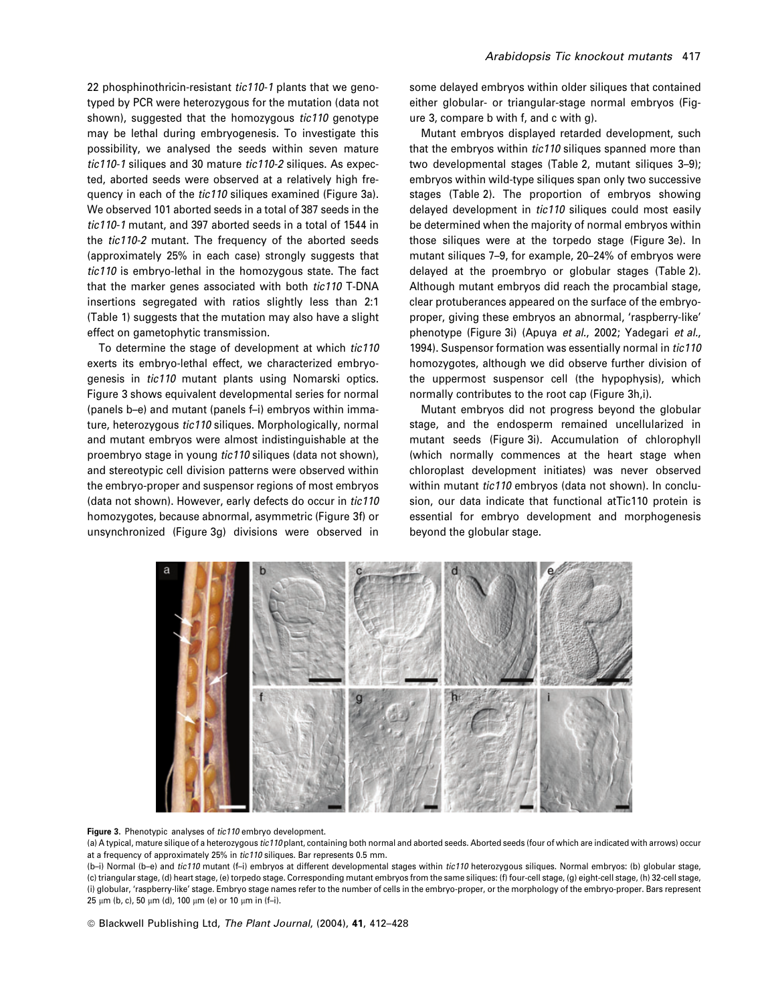22 phosphinothricin-resistant tic110-1 plants that we genotyped by PCR were heterozygous for the mutation (data not shown), suggested that the homozygous *tic110* genotype may be lethal during embryogenesis. To investigate this possibility, we analysed the seeds within seven mature tic110-1 siliques and 30 mature tic110-2 siliques. As expected, aborted seeds were observed at a relatively high frequency in each of the tic110 siliques examined (Figure 3a). We observed 101 aborted seeds in a total of 387 seeds in the tic110-1 mutant, and 397 aborted seeds in a total of 1544 in the tic110-2 mutant. The frequency of the aborted seeds (approximately 25% in each case) strongly suggests that tic110 is embryo-lethal in the homozygous state. The fact that the marker genes associated with both tic110 T-DNA insertions segregated with ratios slightly less than 2:1 (Table 1) suggests that the mutation may also have a slight effect on gametophytic transmission.

To determine the stage of development at which tic110 exerts its embryo-lethal effect, we characterized embryogenesis in tic110 mutant plants using Nomarski optics. Figure 3 shows equivalent developmental series for normal (panels b–e) and mutant (panels f–i) embryos within immature, heterozygous tic110 siliques. Morphologically, normal and mutant embryos were almost indistinguishable at the proembryo stage in young tic110 siliques (data not shown), and stereotypic cell division patterns were observed within the embryo-proper and suspensor regions of most embryos (data not shown). However, early defects do occur in tic110 homozygotes, because abnormal, asymmetric (Figure 3f) or unsynchronized (Figure 3g) divisions were observed in

# Arabidopsis Tic knockout mutants 417

some delayed embryos within older siliques that contained either globular- or triangular-stage normal embryos (Figure 3, compare b with f, and c with g).

Mutant embryos displayed retarded development, such that the embryos within tic110 siliques spanned more than two developmental stages (Table 2, mutant siliques 3–9); embryos within wild-type siliques span only two successive stages (Table 2). The proportion of embryos showing delayed development in tic110 siliques could most easily be determined when the majority of normal embryos within those siliques were at the torpedo stage (Figure 3e). In mutant siliques 7–9, for example, 20–24% of embryos were delayed at the proembryo or globular stages (Table 2). Although mutant embryos did reach the procambial stage, clear protuberances appeared on the surface of the embryoproper, giving these embryos an abnormal, 'raspberry-like' phenotype (Figure 3i) (Apuya et al., 2002; Yadegari et al., 1994). Suspensor formation was essentially normal in tic110 homozygotes, although we did observe further division of the uppermost suspensor cell (the hypophysis), which normally contributes to the root cap (Figure 3h,i).

Mutant embryos did not progress beyond the globular stage, and the endosperm remained uncellularized in mutant seeds (Figure 3i). Accumulation of chlorophyll (which normally commences at the heart stage when chloroplast development initiates) was never observed within mutant tic110 embryos (data not shown). In conclusion, our data indicate that functional atTic110 protein is essential for embryo development and morphogenesis beyond the globular stage.



#### Figure 3. Phenotypic analyses of tic110 embryo development.

(a) A typical, mature silique of a heterozygous tic110 plant, containing both normal and aborted seeds. Aborted seeds (four of which are indicated with arrows) occur at a frequency of approximately 25% in tic110 siliques. Bar represents 0.5 mm.

(b-i) Normal (b-e) and tic110 mutant (f-i) embryos at different developmental stages within tic110 heterozygous siliques. Normal embryos: (b) globular stage, (c) triangular stage, (d) heart stage, (e) torpedo stage. Corresponding mutant embryos from the same siliques: (f) four-cell stage, (g) eight-cell stage, (h) 32-cell stage, (i) globular, 'raspberry-like' stage. Embryo stage names refer to the number of cells in the embryo-proper, or the morphology of the embryo-proper. Bars represent  $25 \mu m$  (b, c),  $50 \mu m$  (d),  $100 \mu m$  (e) or  $10 \mu m$  in (f-i).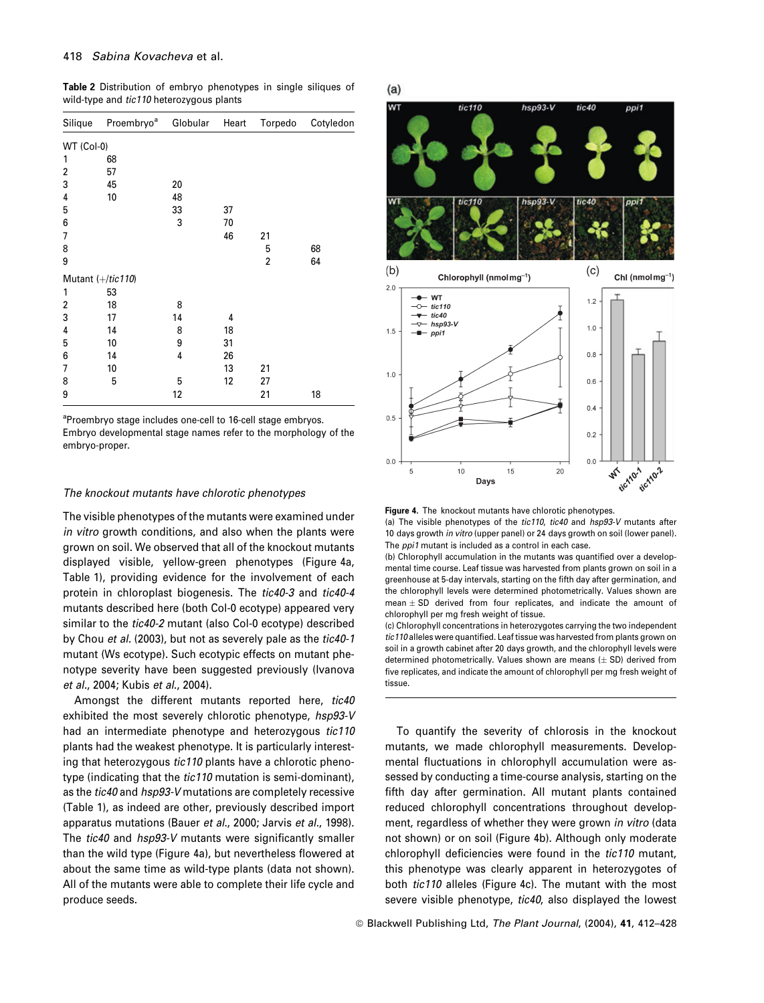Table 2 Distribution of embryo phenotypes in single siliques of wild-type and tic110 heterozygous plants

| Silique    | Proembryo <sup>a</sup> | Globular | Heart | Torpedo | Cotyledon |
|------------|------------------------|----------|-------|---------|-----------|
| WT (Col-0) |                        |          |       |         |           |
| 1          | 68                     |          |       |         |           |
| 2          | 57                     |          |       |         |           |
| 3          | 45                     | 20       |       |         |           |
| 4          | 10                     | 48       |       |         |           |
| 5          |                        | 33       | 37    |         |           |
| 6          |                        | 3        | 70    |         |           |
| 7          |                        |          | 46    | 21      |           |
| 8          |                        |          |       | 5       | 68        |
| 9          |                        |          |       | 2       | 64        |
|            | Mutant $(+/tic 110)$   |          |       |         |           |
| 1          | 53                     |          |       |         |           |
| 2          | 18                     | 8        |       |         |           |
| 3          | 17                     | 14       | 4     |         |           |
| 4          | 14                     | 8        | 18    |         |           |
| 5          | 10                     | 9        | 31    |         |           |
| 6          | 14                     | 4        | 26    |         |           |
| 7          | 10                     |          | 13    | 21      |           |
| 8          | 5                      | 5        | 12    | 27      |           |
| 9          |                        | 12       |       | 21      | 18        |

<sup>a</sup>Proembryo stage includes one-cell to 16-cell stage embryos. Embryo developmental stage names refer to the morphology of the embryo-proper.

## The knockout mutants have chlorotic phenotypes

The visible phenotypes of the mutants were examined under in vitro growth conditions, and also when the plants were grown on soil. We observed that all of the knockout mutants displayed visible, yellow-green phenotypes (Figure 4a, Table 1), providing evidence for the involvement of each protein in chloroplast biogenesis. The tic40-3 and tic40-4 mutants described here (both Col-0 ecotype) appeared very similar to the tic40-2 mutant (also Col-0 ecotype) described by Chou et al. (2003), but not as severely pale as the tic40-1 mutant (Ws ecotype). Such ecotypic effects on mutant phenotype severity have been suggested previously (Ivanova et al., 2004; Kubis et al., 2004).

Amongst the different mutants reported here, tic40 exhibited the most severely chlorotic phenotype, hsp93-V had an intermediate phenotype and heterozygous tic110 plants had the weakest phenotype. It is particularly interesting that heterozygous tic110 plants have a chlorotic phenotype (indicating that the tic110 mutation is semi-dominant), as the tic40 and hsp93-V mutations are completely recessive (Table 1), as indeed are other, previously described import apparatus mutations (Bauer et al., 2000; Jarvis et al., 1998). The tic40 and hsp93-V mutants were significantly smaller than the wild type (Figure 4a), but nevertheless flowered at about the same time as wild-type plants (data not shown). All of the mutants were able to complete their life cycle and produce seeds.



Figure 4. The knockout mutants have chlorotic phenotypes. (a) The visible phenotypes of the tic110, tic40 and hsp93-V mutants after

10 days growth in vitro (upper panel) or 24 days growth on soil (lower panel). The *ppi1* mutant is included as a control in each case.

(b) Chlorophyll accumulation in the mutants was quantified over a developmental time course. Leaf tissue was harvested from plants grown on soil in a greenhouse at 5-day intervals, starting on the fifth day after germination, and the chlorophyll levels were determined photometrically. Values shown are mean  $\pm$  SD derived from four replicates, and indicate the amount of chlorophyll per mg fresh weight of tissue.

(c) Chlorophyll concentrations in heterozygotes carrying the two independent tic110 alleles were quantified. Leaf tissue was harvested from plants grown on soil in a growth cabinet after 20 days growth, and the chlorophyll levels were determined photometrically. Values shown are means  $(\pm$  SD) derived from five replicates, and indicate the amount of chlorophyll per mg fresh weight of tissue.

To quantify the severity of chlorosis in the knockout mutants, we made chlorophyll measurements. Developmental fluctuations in chlorophyll accumulation were assessed by conducting a time-course analysis, starting on the fifth day after germination. All mutant plants contained reduced chlorophyll concentrations throughout development, regardless of whether they were grown in vitro (data not shown) or on soil (Figure 4b). Although only moderate chlorophyll deficiencies were found in the tic110 mutant, this phenotype was clearly apparent in heterozygotes of both tic110 alleles (Figure 4c). The mutant with the most severe visible phenotype, tic40, also displayed the lowest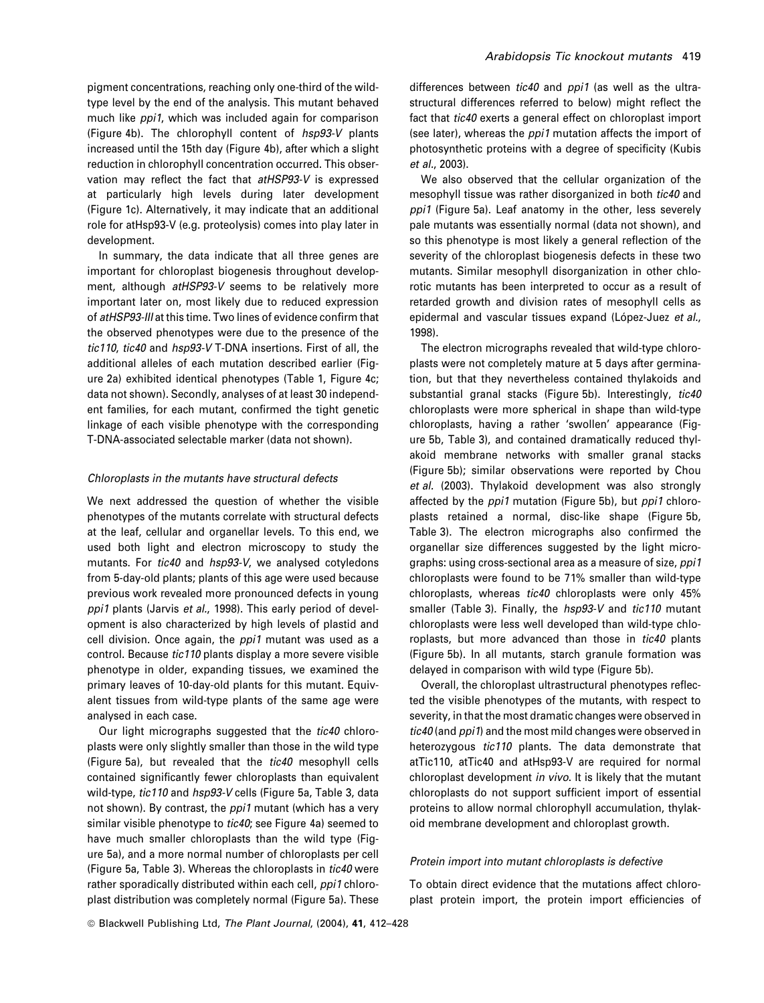pigment concentrations, reaching only one-third of the wildtype level by the end of the analysis. This mutant behaved much like *ppi1*, which was included again for comparison (Figure 4b). The chlorophyll content of hsp93-V plants increased until the 15th day (Figure 4b), after which a slight reduction in chlorophyll concentration occurred. This observation may reflect the fact that atHSP93-V is expressed at particularly high levels during later development (Figure 1c). Alternatively, it may indicate that an additional role for atHsp93-V (e.g. proteolysis) comes into play later in development.

In summary, the data indicate that all three genes are important for chloroplast biogenesis throughout development, although atHSP93-V seems to be relatively more important later on, most likely due to reduced expression of atHSP93-III at this time. Two lines of evidence confirm that the observed phenotypes were due to the presence of the tic110, tic40 and hsp93-V T-DNA insertions. First of all, the additional alleles of each mutation described earlier (Figure 2a) exhibited identical phenotypes (Table 1, Figure 4c; data not shown). Secondly, analyses of at least 30 independent families, for each mutant, confirmed the tight genetic linkage of each visible phenotype with the corresponding T-DNA-associated selectable marker (data not shown).

# Chloroplasts in the mutants have structural defects

We next addressed the question of whether the visible phenotypes of the mutants correlate with structural defects at the leaf, cellular and organellar levels. To this end, we used both light and electron microscopy to study the mutants. For tic40 and hsp93-V, we analysed cotyledons from 5-day-old plants; plants of this age were used because previous work revealed more pronounced defects in young ppi1 plants (Jarvis et al., 1998). This early period of development is also characterized by high levels of plastid and cell division. Once again, the ppi1 mutant was used as a control. Because tic110 plants display a more severe visible phenotype in older, expanding tissues, we examined the primary leaves of 10-day-old plants for this mutant. Equivalent tissues from wild-type plants of the same age were analysed in each case.

Our light micrographs suggested that the tic40 chloroplasts were only slightly smaller than those in the wild type (Figure 5a), but revealed that the tic40 mesophyll cells contained significantly fewer chloroplasts than equivalent wild-type, tic110 and hsp93-V cells (Figure 5a, Table 3, data not shown). By contrast, the *ppi1* mutant (which has a very similar visible phenotype to tic40; see Figure 4a) seemed to have much smaller chloroplasts than the wild type (Figure 5a), and a more normal number of chloroplasts per cell (Figure 5a, Table 3). Whereas the chloroplasts in tic40 were rather sporadically distributed within each cell, ppi1 chloroplast distribution was completely normal (Figure 5a). These

differences between tic40 and ppi1 (as well as the ultrastructural differences referred to below) might reflect the fact that *tic40* exerts a general effect on chloroplast import (see later), whereas the *ppi1* mutation affects the import of photosynthetic proteins with a degree of specificity (Kubis et al., 2003).

We also observed that the cellular organization of the mesophyll tissue was rather disorganized in both tic40 and ppi1 (Figure 5a). Leaf anatomy in the other, less severely pale mutants was essentially normal (data not shown), and so this phenotype is most likely a general reflection of the severity of the chloroplast biogenesis defects in these two mutants. Similar mesophyll disorganization in other chlorotic mutants has been interpreted to occur as a result of retarded growth and division rates of mesophyll cells as epidermal and vascular tissues expand (López-Juez et al., 1998).

The electron micrographs revealed that wild-type chloroplasts were not completely mature at 5 days after germination, but that they nevertheless contained thylakoids and substantial granal stacks (Figure 5b). Interestingly, tic40 chloroplasts were more spherical in shape than wild-type chloroplasts, having a rather 'swollen' appearance (Figure 5b, Table 3), and contained dramatically reduced thylakoid membrane networks with smaller granal stacks (Figure 5b); similar observations were reported by Chou et al. (2003). Thylakoid development was also strongly affected by the *ppi1* mutation (Figure 5b), but *ppi1* chloroplasts retained a normal, disc-like shape (Figure 5b, Table 3). The electron micrographs also confirmed the organellar size differences suggested by the light micrographs: using cross-sectional area as a measure of size, ppi1 chloroplasts were found to be 71% smaller than wild-type chloroplasts, whereas tic40 chloroplasts were only 45% smaller (Table 3). Finally, the hsp93-V and tic110 mutant chloroplasts were less well developed than wild-type chloroplasts, but more advanced than those in tic40 plants (Figure 5b). In all mutants, starch granule formation was delayed in comparison with wild type (Figure 5b).

Overall, the chloroplast ultrastructural phenotypes reflected the visible phenotypes of the mutants, with respect to severity, in that the most dramatic changes were observed in tic40 (and ppi1) and the most mild changes were observed in heterozygous tic110 plants. The data demonstrate that atTic110, atTic40 and atHsp93-V are required for normal chloroplast development in vivo. It is likely that the mutant chloroplasts do not support sufficient import of essential proteins to allow normal chlorophyll accumulation, thylakoid membrane development and chloroplast growth.

## Protein import into mutant chloroplasts is defective

To obtain direct evidence that the mutations affect chloroplast protein import, the protein import efficiencies of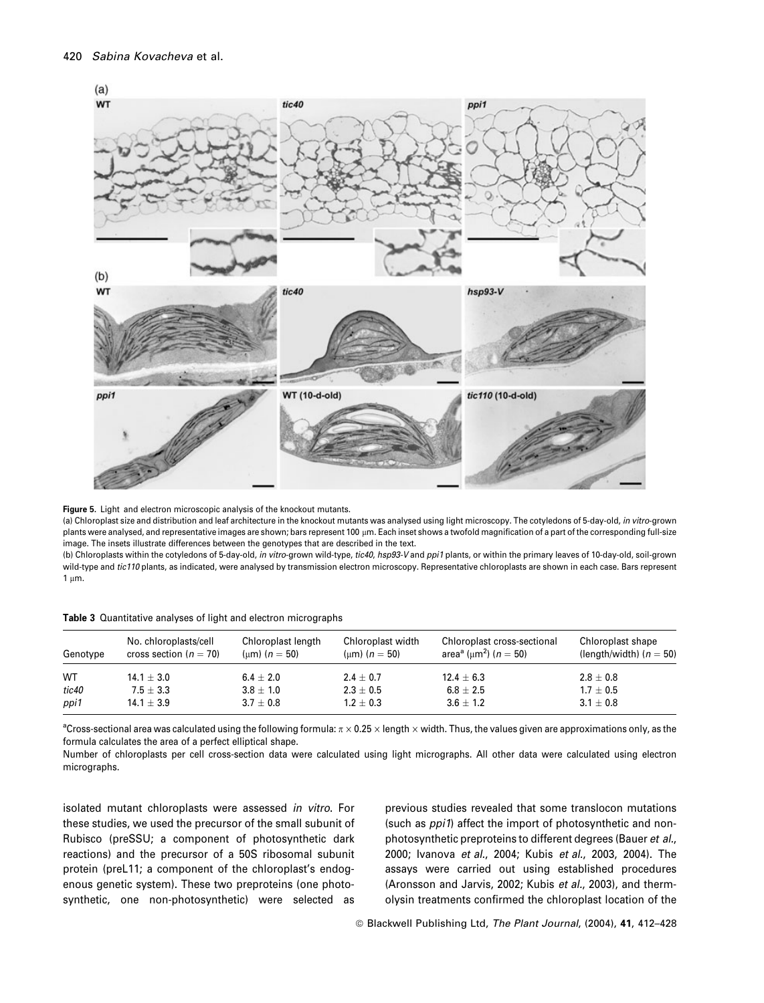

Figure 5. Light and electron microscopic analysis of the knockout mutants.

(a) Chloroplast size and distribution and leaf architecture in the knockout mutants was analysed using light microscopy. The cotyledons of 5-day-old, in vitro-grown plants were analysed, and representative images are shown; bars represent 100 µm. Each inset shows a twofold magnification of a part of the corresponding full-size image. The insets illustrate differences between the genotypes that are described in the text.

(b) Chloroplasts within the cotyledons of 5-day-old, in vitro-grown wild-type, tic40, hsp93-V and ppi1 plants, or within the primary leaves of 10-day-old, soil-grown wild-type and tic110 plants, as indicated, were analysed by transmission electron microscopy. Representative chloroplasts are shown in each case. Bars represent  $1 \mu m$ .

|  | Table 3 Quantitative analyses of light and electron micrographs |  |  |  |  |  |  |
|--|-----------------------------------------------------------------|--|--|--|--|--|--|
|--|-----------------------------------------------------------------|--|--|--|--|--|--|

| Genotype | No. chloroplasts/cell<br>cross section ( $n = 70$ ) | Chloroplast length<br>(um) ( $n = 50$ ) | Chloroplast width<br>(um) ( $n = 50$ ) | Chloroplast cross-sectional<br>area <sup>a</sup> (µm <sup>2</sup> ) ( <i>n</i> = 50) | Chloroplast shape<br>(length/width) ( $n = 50$ ) |
|----------|-----------------------------------------------------|-----------------------------------------|----------------------------------------|--------------------------------------------------------------------------------------|--------------------------------------------------|
| WT       | $14.1 \pm 3.0$                                      | $6.4 \pm 2.0$                           | $2.4 \pm 0.7$                          | $12.4 \pm 6.3$                                                                       | $2.8 \pm 0.8$                                    |
| tic40    | $7.5 + 3.3$                                         | $3.8 + 1.0$                             | $2.3 \pm 0.5$                          | $6.8 + 2.5$                                                                          | $1.7 \pm 0.5$                                    |
| ppi1     | $14.1 \pm 3.9$                                      | $3.7 \pm 0.8$                           | $1.2 \pm 0.3$                          | $3.6 + 1.2$                                                                          | $3.1 \pm 0.8$                                    |

 $^a$ Cross-sectional area was calculated using the following formula:  $\pi \times 0.25 \times$  length  $\times$  width. Thus, the values given are approximations only, as the formula calculates the area of a perfect elliptical shape.

Number of chloroplasts per cell cross-section data were calculated using light micrographs. All other data were calculated using electron micrographs.

isolated mutant chloroplasts were assessed in vitro. For these studies, we used the precursor of the small subunit of Rubisco (preSSU; a component of photosynthetic dark reactions) and the precursor of a 50S ribosomal subunit protein (preL11; a component of the chloroplast's endogenous genetic system). These two preproteins (one photosynthetic, one non-photosynthetic) were selected as

previous studies revealed that some translocon mutations (such as ppi1) affect the import of photosynthetic and nonphotosynthetic preproteins to different degrees (Bauer et al., 2000; Ivanova et al., 2004; Kubis et al., 2003, 2004). The assays were carried out using established procedures (Aronsson and Jarvis, 2002; Kubis et al., 2003), and thermolysin treatments confirmed the chloroplast location of the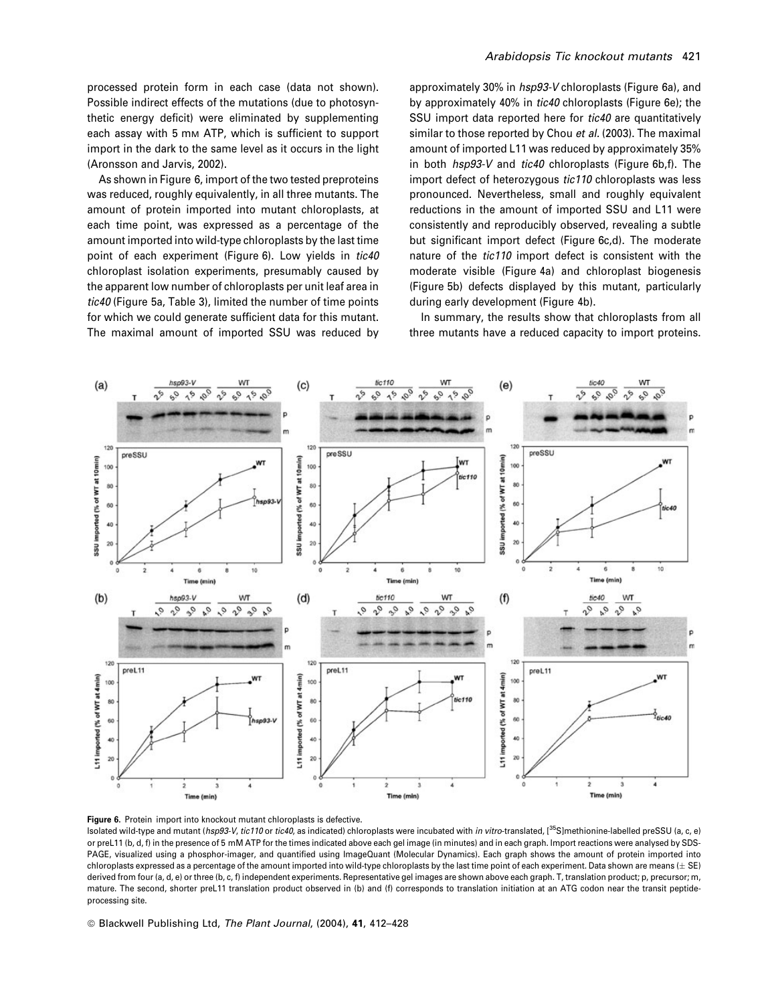processed protein form in each case (data not shown). Possible indirect effects of the mutations (due to photosynthetic energy deficit) were eliminated by supplementing each assay with 5 mm ATP, which is sufficient to support import in the dark to the same level as it occurs in the light (Aronsson and Jarvis, 2002).

As shown in Figure 6, import of the two tested preproteins was reduced, roughly equivalently, in all three mutants. The amount of protein imported into mutant chloroplasts, at each time point, was expressed as a percentage of the amount imported into wild-type chloroplasts by the last time point of each experiment (Figure 6). Low yields in tic40 chloroplast isolation experiments, presumably caused by the apparent low number of chloroplasts per unit leaf area in tic40 (Figure 5a, Table 3), limited the number of time points for which we could generate sufficient data for this mutant. The maximal amount of imported SSU was reduced by

approximately 30% in hsp93-V chloroplasts (Figure 6a), and by approximately 40% in tic40 chloroplasts (Figure 6e); the SSU import data reported here for tic40 are quantitatively similar to those reported by Chou et al. (2003). The maximal amount of imported L11 was reduced by approximately 35% in both hsp93-V and tic40 chloroplasts (Figure 6b,f). The import defect of heterozygous tic110 chloroplasts was less pronounced. Nevertheless, small and roughly equivalent reductions in the amount of imported SSU and L11 were consistently and reproducibly observed, revealing a subtle but significant import defect (Figure 6c,d). The moderate nature of the tic110 import defect is consistent with the moderate visible (Figure 4a) and chloroplast biogenesis (Figure 5b) defects displayed by this mutant, particularly during early development (Figure 4b).

In summary, the results show that chloroplasts from all three mutants have a reduced capacity to import proteins.



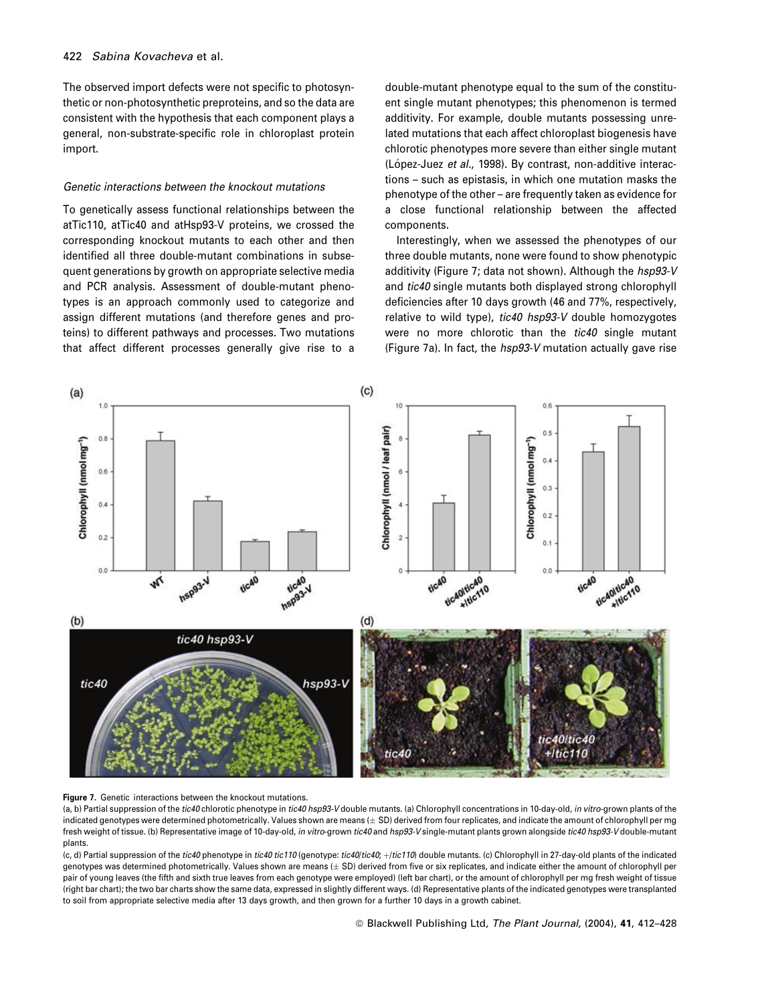The observed import defects were not specific to photosynthetic or non-photosynthetic preproteins, and so the data are consistent with the hypothesis that each component plays a general, non-substrate-specific role in chloroplast protein import.

# Genetic interactions between the knockout mutations

To genetically assess functional relationships between the atTic110, atTic40 and atHsp93-V proteins, we crossed the corresponding knockout mutants to each other and then identified all three double-mutant combinations in subsequent generations by growth on appropriate selective media and PCR analysis. Assessment of double-mutant phenotypes is an approach commonly used to categorize and assign different mutations (and therefore genes and proteins) to different pathways and processes. Two mutations that affect different processes generally give rise to a

double-mutant phenotype equal to the sum of the constituent single mutant phenotypes; this phenomenon is termed additivity. For example, double mutants possessing unrelated mutations that each affect chloroplast biogenesis have chlorotic phenotypes more severe than either single mutant (López-Juez et al., 1998). By contrast, non-additive interactions – such as epistasis, in which one mutation masks the phenotype of the other – are frequently taken as evidence for a close functional relationship between the affected components.

Interestingly, when we assessed the phenotypes of our three double mutants, none were found to show phenotypic additivity (Figure 7; data not shown). Although the hsp93-V and tic40 single mutants both displayed strong chlorophyll deficiencies after 10 days growth (46 and 77%, respectively, relative to wild type), tic40 hsp93-V double homozygotes were no more chlorotic than the tic40 single mutant (Figure 7a). In fact, the hsp93-V mutation actually gave rise





(a, b) Partial suppression of the tic40 chlorotic phenotype in tic40 hsp93-V double mutants. (a) Chlorophyll concentrations in 10-day-old, in vitro-grown plants of the indicated genotypes were determined photometrically. Values shown are means  $(\pm$  SD) derived from four replicates, and indicate the amount of chlorophyll per ma fresh weight of tissue. (b) Representative image of 10-day-old, in vitro-grown tic40 and hsp93-V single-mutant plants grown alongside tic40 hsp93-V double-mutant plants.

(c, d) Partial suppression of the tic40 phenotype in tic40 tic110 (genotype: tic40/tic40; +/tic110) double mutants. (c) Chlorophyll in 27-day-old plants of the indicated genotypes was determined photometrically. Values shown are means ( $\pm$  SD) derived from five or six replicates, and indicate either the amount of chlorophyll per pair of young leaves (the fifth and sixth true leaves from each genotype were employed) (left bar chart), or the amount of chlorophyll per mg fresh weight of tissue (right bar chart); the two bar charts show the same data, expressed in slightly different ways. (d) Representative plants of the indicated genotypes were transplanted to soil from appropriate selective media after 13 days growth, and then grown for a further 10 days in a growth cabinet.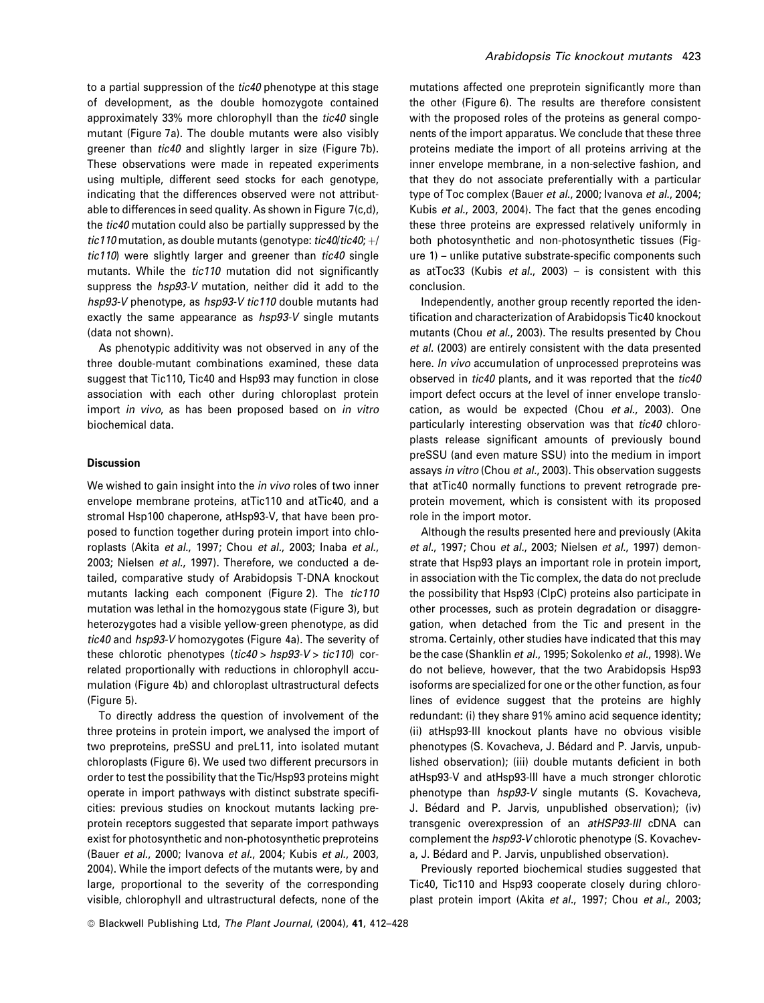to a partial suppression of the tic40 phenotype at this stage of development, as the double homozygote contained approximately 33% more chlorophyll than the tic40 single mutant (Figure 7a). The double mutants were also visibly greener than tic40 and slightly larger in size (Figure 7b). These observations were made in repeated experiments using multiple, different seed stocks for each genotype, indicating that the differences observed were not attributable to differences in seed quality. As shown in Figure 7(c,d), the tic40 mutation could also be partially suppressed by the tic110 mutation, as double mutants (genotype: tic40/tic40;  $+$ / tic110) were slightly larger and greener than tic40 single mutants. While the tic110 mutation did not significantly suppress the *hsp93-V* mutation, neither did it add to the hsp93-V phenotype, as hsp93-V tic110 double mutants had exactly the same appearance as hsp93-V single mutants (data not shown).

As phenotypic additivity was not observed in any of the three double-mutant combinations examined, these data suggest that Tic110, Tic40 and Hsp93 may function in close association with each other during chloroplast protein import in vivo, as has been proposed based on in vitro biochemical data.

# Discussion

We wished to gain insight into the *in vivo* roles of two inner envelope membrane proteins, atTic110 and atTic40, and a stromal Hsp100 chaperone, atHsp93-V, that have been proposed to function together during protein import into chloroplasts (Akita et al., 1997; Chou et al., 2003; Inaba et al., 2003; Nielsen et al., 1997). Therefore, we conducted a detailed, comparative study of Arabidopsis T-DNA knockout mutants lacking each component (Figure 2). The tic110 mutation was lethal in the homozygous state (Figure 3), but heterozygotes had a visible yellow-green phenotype, as did tic40 and hsp93-V homozygotes (Figure 4a). The severity of these chlorotic phenotypes (tic40 > hsp93-V > tic110) correlated proportionally with reductions in chlorophyll accumulation (Figure 4b) and chloroplast ultrastructural defects (Figure 5).

To directly address the question of involvement of the three proteins in protein import, we analysed the import of two preproteins, preSSU and preL11, into isolated mutant chloroplasts (Figure 6). We used two different precursors in order to test the possibility that the Tic/Hsp93 proteins might operate in import pathways with distinct substrate specificities: previous studies on knockout mutants lacking preprotein receptors suggested that separate import pathways exist for photosynthetic and non-photosynthetic preproteins (Bauer et al., 2000; Ivanova et al., 2004; Kubis et al., 2003, 2004). While the import defects of the mutants were, by and large, proportional to the severity of the corresponding visible, chlorophyll and ultrastructural defects, none of the

mutations affected one preprotein significantly more than the other (Figure 6). The results are therefore consistent with the proposed roles of the proteins as general components of the import apparatus. We conclude that these three proteins mediate the import of all proteins arriving at the inner envelope membrane, in a non-selective fashion, and that they do not associate preferentially with a particular type of Toc complex (Bauer et al., 2000; Ivanova et al., 2004; Kubis et al., 2003, 2004). The fact that the genes encoding these three proteins are expressed relatively uniformly in both photosynthetic and non-photosynthetic tissues (Figure 1) – unlike putative substrate-specific components such as atToc33 (Kubis et al., 2003) – is consistent with this conclusion.

Independently, another group recently reported the identification and characterization of Arabidopsis Tic40 knockout mutants (Chou et al., 2003). The results presented by Chou et al. (2003) are entirely consistent with the data presented here. *In vivo* accumulation of unprocessed preproteins was observed in tic40 plants, and it was reported that the tic40 import defect occurs at the level of inner envelope translocation, as would be expected (Chou et al., 2003). One particularly interesting observation was that tic40 chloroplasts release significant amounts of previously bound preSSU (and even mature SSU) into the medium in import assays in vitro (Chou et al., 2003). This observation suggests that atTic40 normally functions to prevent retrograde preprotein movement, which is consistent with its proposed role in the import motor.

Although the results presented here and previously (Akita et al., 1997; Chou et al., 2003; Nielsen et al., 1997) demonstrate that Hsp93 plays an important role in protein import, in association with the Tic complex, the data do not preclude the possibility that Hsp93 (ClpC) proteins also participate in other processes, such as protein degradation or disaggregation, when detached from the Tic and present in the stroma. Certainly, other studies have indicated that this may be the case (Shanklin et al., 1995; Sokolenko et al., 1998). We do not believe, however, that the two Arabidopsis Hsp93 isoforms are specialized for one or the other function, as four lines of evidence suggest that the proteins are highly redundant: (i) they share 91% amino acid sequence identity; (ii) atHsp93-III knockout plants have no obvious visible phenotypes (S. Kovacheva, J. Bédard and P. Jarvis, unpublished observation); (iii) double mutants deficient in both atHsp93-V and atHsp93-III have a much stronger chlorotic phenotype than  $hsp93-V$  single mutants (S. Kovacheva, J. Bédard and P. Jarvis, unpublished observation); (iv) transgenic overexpression of an atHSP93-III cDNA can complement the hsp93-V chlorotic phenotype (S. Kovacheva, J. Bédard and P. Jarvis, unpublished observation).

Previously reported biochemical studies suggested that Tic40, Tic110 and Hsp93 cooperate closely during chloroplast protein import (Akita et al., 1997; Chou et al., 2003;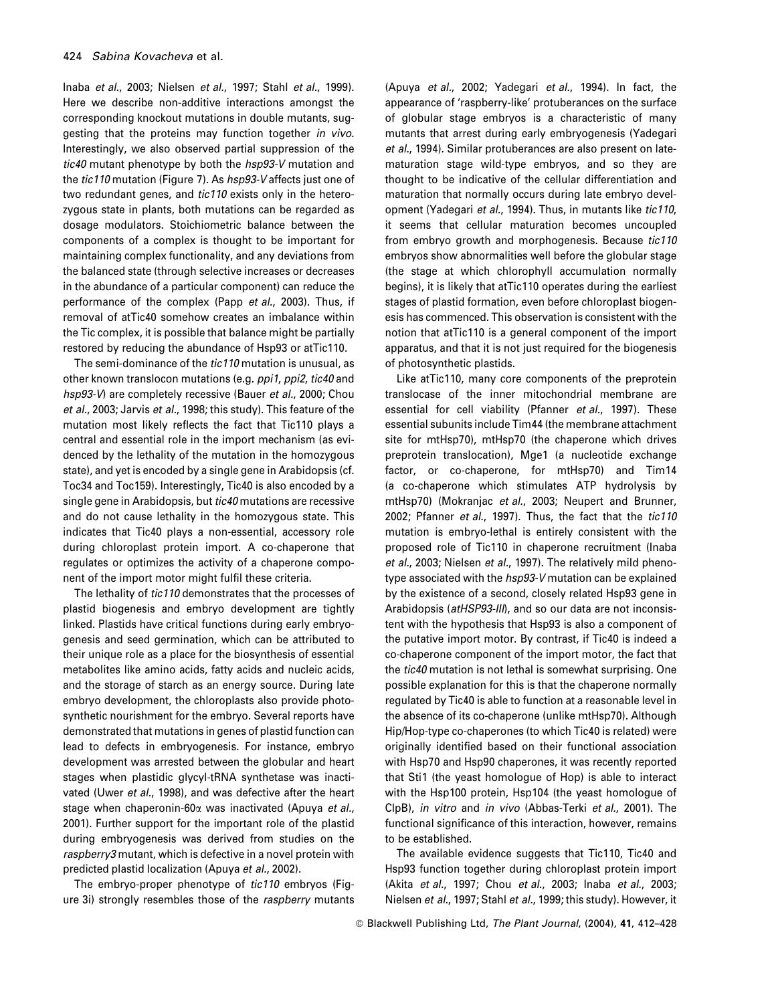Inaba et al., 2003; Nielsen et al., 1997; Stahl et al., 1999). Here we describe non-additive interactions amongst the corresponding knockout mutations in double mutants, suggesting that the proteins may function together in vivo. Interestingly, we also observed partial suppression of the tic40 mutant phenotype by both the hsp93-V mutation and the *tic110* mutation (Figure 7). As hsp93-V affects just one of two redundant genes, and tic110 exists only in the heterozygous state in plants, both mutations can be regarded as dosage modulators. Stoichiometric balance between the components of a complex is thought to be important for maintaining complex functionality, and any deviations from the balanced state (through selective increases or decreases in the abundance of a particular component) can reduce the performance of the complex (Papp et al., 2003). Thus, if removal of atTic40 somehow creates an imbalance within the Tic complex, it is possible that balance might be partially restored by reducing the abundance of Hsp93 or atTic110.

The semi-dominance of the *tic110* mutation is unusual, as other known translocon mutations (e.g. ppi1, ppi2, tic40 and hsp93-V) are completely recessive (Bauer et al., 2000; Chou et al., 2003; Jarvis et al., 1998; this study). This feature of the mutation most likely reflects the fact that Tic110 plays a central and essential role in the import mechanism (as evidenced by the lethality of the mutation in the homozygous state), and yet is encoded by a single gene in Arabidopsis (cf. Toc34 and Toc159). Interestingly, Tic40 is also encoded by a single gene in Arabidopsis, but *tic40* mutations are recessive and do not cause lethality in the homozygous state. This indicates that Tic40 plays a non-essential, accessory role during chloroplast protein import. A co-chaperone that regulates or optimizes the activity of a chaperone component of the import motor might fulfil these criteria.

The lethality of tic110 demonstrates that the processes of plastid biogenesis and embryo development are tightly linked. Plastids have critical functions during early embryogenesis and seed germination, which can be attributed to their unique role as a place for the biosynthesis of essential metabolites like amino acids, fatty acids and nucleic acids, and the storage of starch as an energy source. During late embryo development, the chloroplasts also provide photosynthetic nourishment for the embryo. Several reports have demonstrated that mutations in genes of plastid function can lead to defects in embryogenesis. For instance, embryo development was arrested between the globular and heart stages when plastidic glycyl-tRNA synthetase was inactivated (Uwer et al., 1998), and was defective after the heart stage when chaperonin-60 $\alpha$  was inactivated (Apuva et al., 2001). Further support for the important role of the plastid during embryogenesis was derived from studies on the raspberry3 mutant, which is defective in a novel protein with predicted plastid localization (Apuya et al., 2002).

The embryo-proper phenotype of tic110 embryos (Figure 3i) strongly resembles those of the raspberry mutants (Apuya et al., 2002; Yadegari et al., 1994). In fact, the appearance of 'raspberry-like' protuberances on the surface of globular stage embryos is a characteristic of many mutants that arrest during early embryogenesis (Yadegari et al., 1994). Similar protuberances are also present on latematuration stage wild-type embryos, and so they are thought to be indicative of the cellular differentiation and maturation that normally occurs during late embryo development (Yadegari et al., 1994). Thus, in mutants like tic110, it seems that cellular maturation becomes uncoupled from embryo growth and morphogenesis. Because tic110 embryos show abnormalities well before the globular stage (the stage at which chlorophyll accumulation normally begins), it is likely that atTic110 operates during the earliest stages of plastid formation, even before chloroplast biogenesis has commenced. This observation is consistent with the notion that atTic110 is a general component of the import apparatus, and that it is not just required for the biogenesis of photosynthetic plastids.

Like atTic110, many core components of the preprotein translocase of the inner mitochondrial membrane are essential for cell viability (Pfanner et al., 1997). These essential subunits include Tim44 (the membrane attachment site for mtHsp70), mtHsp70 (the chaperone which drives preprotein translocation), Mge1 (a nucleotide exchange factor, or co-chaperone, for mtHsp70) and Tim14 (a co-chaperone which stimulates ATP hydrolysis by mtHsp70) (Mokranjac et al., 2003; Neupert and Brunner, 2002; Pfanner et al., 1997). Thus, the fact that the tic110 mutation is embryo-lethal is entirely consistent with the proposed role of Tic110 in chaperone recruitment (Inaba et al., 2003; Nielsen et al., 1997). The relatively mild phenotype associated with the hsp93-V mutation can be explained by the existence of a second, closely related Hsp93 gene in Arabidopsis (atHSP93-III), and so our data are not inconsistent with the hypothesis that Hsp93 is also a component of the putative import motor. By contrast, if Tic40 is indeed a co-chaperone component of the import motor, the fact that the tic40 mutation is not lethal is somewhat surprising. One possible explanation for this is that the chaperone normally regulated by Tic40 is able to function at a reasonable level in the absence of its co-chaperone (unlike mtHsp70). Although Hip/Hop-type co-chaperones (to which Tic40 is related) were originally identified based on their functional association with Hsp70 and Hsp90 chaperones, it was recently reported that Sti1 (the yeast homologue of Hop) is able to interact with the Hsp100 protein, Hsp104 (the yeast homologue of ClpB), in vitro and in vivo (Abbas-Terki et al., 2001). The functional significance of this interaction, however, remains to be established.

The available evidence suggests that Tic110, Tic40 and Hsp93 function together during chloroplast protein import (Akita et al., 1997; Chou et al., 2003; Inaba et al., 2003; Nielsen et al., 1997; Stahl et al., 1999; this study). However, it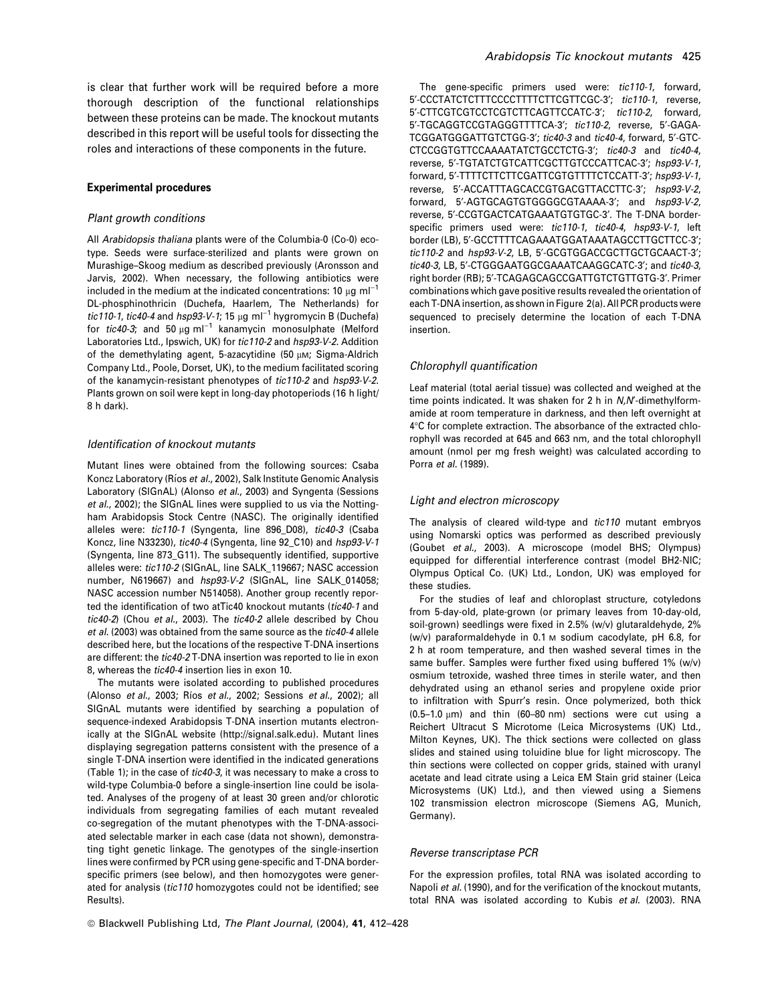is clear that further work will be required before a more thorough description of the functional relationships between these proteins can be made. The knockout mutants described in this report will be useful tools for dissecting the roles and interactions of these components in the future.

## Experimental procedures

#### Plant growth conditions

All Arabidopsis thaliana plants were of the Columbia-0 (Co-0) ecotype. Seeds were surface-sterilized and plants were grown on Murashige–Skoog medium as described previously (Aronsson and Jarvis, 2002). When necessary, the following antibiotics were included in the medium at the indicated concentrations: 10  $\mu$ g ml<sup>-1</sup> DL-phosphinothricin (Duchefa, Haarlem, The Netherlands) for tic110-1, tic40-4 and hsp93-V-1; 15  $\mu$ g ml<sup>-1</sup> hygromycin B (Duchefa) for tic40-3; and 50  $\mu$ g ml<sup>-1</sup> kanamycin monosulphate (Melford Laboratories Ltd., Ipswich, UK) for tic110-2 and hsp93-V-2. Addition of the demethylating agent, 5-azacytidine (50  $\mu$ M; Sigma-Aldrich 7Company Ltd., Poole, Dorset, UK), to the medium facilitated scoring of the kanamycin-resistant phenotypes of tic110-2 and hsp93-V-2. Plants grown on soil were kept in long-day photoperiods (16 h light/ 8 h dark).

#### Identification of knockout mutants

Mutant lines were obtained from the following sources: Csaba Koncz Laboratory (Ríos et al., 2002), Salk Institute Genomic Analysis Laboratory (SIGnAL) (Alonso et al., 2003) and Syngenta (Sessions et al., 2002); the SIGnAL lines were supplied to us via the Nottingham Arabidopsis Stock Centre (NASC). The originally identified alleles were: tic110-1 (Syngenta, line 896\_D08), tic40-3 (Csaba Koncz, line N33230), tic40-4 (Syngenta, line 92\_C10) and hsp93-V-1 (Syngenta, line 873\_G11). The subsequently identified, supportive alleles were: tic110-2 (SIGnAL, line SALK\_119667; NASC accession number, N619667) and hsp93-V-2 (SIGnAL, line SALK\_014058; NASC accession number N514058). Another group recently reported the identification of two atTic40 knockout mutants (tic40-1 and tic40-2) (Chou et al., 2003). The tic40-2 allele described by Chou et al. (2003) was obtained from the same source as the tic40-4 allele described here, but the locations of the respective T-DNA insertions are different: the tic40-2 T-DNA insertion was reported to lie in exon 8, whereas the tic40-4 insertion lies in exon 10.

The mutants were isolated according to published procedures (Alonso et al., 2003; Ríos et al., 2002; Sessions et al., 2002); all SIGnAL mutants were identified by searching a population of sequence-indexed Arabidopsis T-DNA insertion mutants electronically at the SIGnAL website (http://signal.salk.edu). Mutant lines displaying segregation patterns consistent with the presence of a single T-DNA insertion were identified in the indicated generations (Table 1); in the case of tic40-3, it was necessary to make a cross to wild-type Columbia-0 before a single-insertion line could be isolated. Analyses of the progeny of at least 30 green and/or chlorotic individuals from segregating families of each mutant revealed co-segregation of the mutant phenotypes with the T-DNA-associated selectable marker in each case (data not shown), demonstrating tight genetic linkage. The genotypes of the single-insertion lines were confirmed by PCR using gene-specific and T-DNA borderspecific primers (see below), and then homozygotes were generated for analysis (tic110 homozygotes could not be identified; see Results).

The gene-specific primers used were: tic110-1, forward, 5'-CCCTATCTCTTTCCCCTTTTCTTCGTTCGC-3'; tic110-1, reverse, 5'-CTTCGTCGTCCTCGTCTTCAGTTCCATC-3': tic110-2, forward, 5'-TGCAGGTCCGTAGGGTTTTCA-3'; tic110-2, reverse, 5'-GAGA-TCGGATGGGATTGTCTGG-3': tic40-3 and tic40-4, forward, 5'-GTC-CTCCGGTGTTCCAAAATATCTGCCTCTG-3': tic40-3 and tic40-4, reverse, 5'-TGTATCTGTCATTCGCTTGTCCCATTCAC-3'; hsp93-V-1, forward, 5'-TTTTCTTCTTCGATTCGTGTTTTCTCCATT-3'; hsp93-V-1, reverse, 5'-ACCATTTAGCACCGTGACGTTACCTTC-3'; hsp93-V-2, forward, 5'-AGTGCAGTGTGGGGCGTAAAA-3'; and hsp93-V-2, reverse, 5'-CCGTGACTCATGAAATGTGTGC-3'. The T-DNA borderspecific primers used were: tic110-1, tic40-4, hsp93-V-1, left border (LB), 5'-GCCTTTTCAGAAATGGATAAATAGCCTTGCTTCC-3'; tic110-2 and hsp93-V-2, LB, 5'-GCGTGGACCGCTTGCTGCAACT-3'; tic40-3, LB, 5'-CTGGGAATGGCGAAATCAAGGCATC-3'; and tic40-3, right border (RB); 5'-TCAGAGCAGCCGATTGTCTGTTGTG-3'. Primer combinations which gave positive results revealed the orientation of each T-DNA insertion, as shown in Figure 2(a). All PCR products were sequenced to precisely determine the location of each T-DNA insertion.

#### Chlorophyll quantification

Leaf material (total aerial tissue) was collected and weighed at the time points indicated. It was shaken for 2 h in  $N$ , N'-dimethylformamide at room temperature in darkness, and then left overnight at 4°C for complete extraction. The absorbance of the extracted chlorophyll was recorded at 645 and 663 nm, and the total chlorophyll amount (nmol per mg fresh weight) was calculated according to Porra et al. (1989).

#### Light and electron microscopy

The analysis of cleared wild-type and tic110 mutant embryos using Nomarski optics was performed as described previously (Goubet et al., 2003). A microscope (model BHS; Olympus) equipped for differential interference contrast (model BH2-NIC; Olympus Optical Co. (UK) Ltd., London, UK) was employed for these studies.

For the studies of leaf and chloroplast structure, cotyledons from 5-day-old, plate-grown (or primary leaves from 10-day-old, soil-grown) seedlings were fixed in 2.5% (w/v) glutaraldehyde, 2% (w/v) paraformaldehyde in 0.1 M sodium cacodylate, pH 6.8, for 2 h at room temperature, and then washed several times in the same buffer. Samples were further fixed using buffered 1% (w/v) osmium tetroxide, washed three times in sterile water, and then dehydrated using an ethanol series and propylene oxide prior to infiltration with Spurr's resin. Once polymerized, both thick (0.5-1.0  $\mu$ m) and thin (60-80 nm) sections were cut using a Reichert Ultracut S Microtome (Leica Microsystems (UK) Ltd., Milton Keynes, UK). The thick sections were collected on glass slides and stained using toluidine blue for light microscopy. The thin sections were collected on copper grids, stained with uranyl acetate and lead citrate using a Leica EM Stain grid stainer (Leica Microsystems (UK) Ltd.), and then viewed using a Siemens 102 transmission electron microscope (Siemens AG, Munich, Germany).

## Reverse transcriptase PCR

For the expression profiles, total RNA was isolated according to Napoli et al. (1990), and for the verification of the knockout mutants, total RNA was isolated according to Kubis et al. (2003). RNA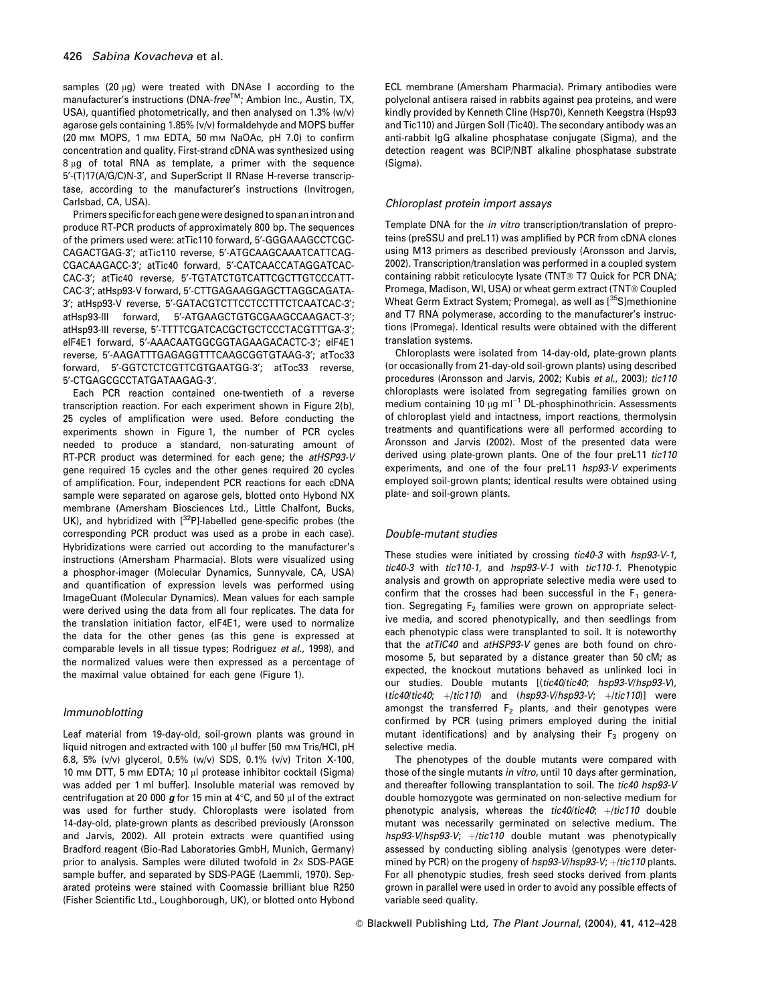samples (20  $\mu$ g) were treated with DNAse I according to the manufacturer's instructions (DNA-free™; Ambion Inc., Austin, TX, USA), quantified photometrically, and then analysed on 1.3% (w/v) agarose gels containing 1.85% (v/v) formaldehyde and MOPS buffer (20 mM MOPS, 1 mM EDTA, 50 mM NaOAc, pH 7.0) to confirm concentration and quality. First-strand cDNA was synthesized using  $8 \mu g$  of total RNA as template, a primer with the sequence 5'-(T)17(A/G/C)N-3', and SuperScript II RNase H-reverse transcriptase, according to the manufacturer's instructions (Invitrogen, Carlsbad, CA, USA).

Primers specific for each gene were designed to span an intron and produce RT-PCR products of approximately 800 bp. The sequences of the primers used were: atTic110 forward, 5'-GGGAAAGCCTCGC-CAGACTGAG-3¢; atTic110 reverse, 5¢-ATGCAAGCAAATCATTCAG-CGACAAGACC-3<sup>'</sup>; atTic40 forward, 5'-CATCAACCATAGGATCAC-CAC-3<sup>'</sup>; atTic40 reverse, 5'-TGTATCTGTCATTCGCTTGTCCCATT-CAC-3'; atHsp93-V forward, 5'-CTTGAGAAGGAGCTTAGGCAGATA-3'; atHsp93-V reverse, 5'-GATACGTCTTCCTCCTTTCTCAATCAC-3'; atHsp93-III forward, 5'-ATGAAGCTGTGCGAAGCCAAGACT-3'; atHsp93-III reverse, 5'-TTTTCGATCACGCTGCTCCCTACGTTTGA-3'; eIF4E1 forward, 5'-AAACAATGGCGGTAGAAGACACTC-3'; eIF4E1 reverse, 5¢-AAGATTTGAGAGGTTTCAAGCGGTGTAAG-3¢; atToc33 forward, 5'-GGTCTCTCGTTCGTGAATGG-3'; atToc33 reverse, 5¢-CTGAGCGCCTATGATAAGAG-3¢.

Each PCR reaction contained one-twentieth of a reverse transcription reaction. For each experiment shown in Figure 2(b), 25 cycles of amplification were used. Before conducting the experiments shown in Figure 1, the number of PCR cycles needed to produce a standard, non-saturating amount of RT-PCR product was determined for each gene; the atHSP93-V gene required 15 cycles and the other genes required 20 cycles of amplification. Four, independent PCR reactions for each cDNA sample were separated on agarose gels, blotted onto Hybond NX membrane (Amersham Biosciences Ltd., Little Chalfont, Bucks, UK), and hybridized with  $[3^2P]$ -labelled gene-specific probes (the corresponding PCR product was used as a probe in each case). Hybridizations were carried out according to the manufacturer's instructions (Amersham Pharmacia). Blots were visualized using a phosphor-imager (Molecular Dynamics, Sunnyvale, CA, USA) and quantification of expression levels was performed using ImageQuant (Molecular Dynamics). Mean values for each sample were derived using the data from all four replicates. The data for the translation initiation factor, eIF4E1, were used to normalize the data for the other genes (as this gene is expressed at comparable levels in all tissue types; Rodriguez et al., 1998), and the normalized values were then expressed as a percentage of the maximal value obtained for each gene (Figure 1).

# Immunoblotting

Leaf material from 19-day-old, soil-grown plants was ground in liquid nitrogen and extracted with 100 µl buffer [50 mm Tris/HCl, pH 6.8, 5% (v/v) glycerol, 0.5% (w/v) SDS, 0.1% (v/v) Triton X-100, 10 mm DTT, 5 mm EDTA; 10 µl protease inhibitor cocktail (Sigma) was added per 1 ml buffer]. Insoluble material was removed by centrifugation at 20 000  $g$  for 15 min at 4°C, and 50 µl of the extract was used for further study. Chloroplasts were isolated from 14-day-old, plate-grown plants as described previously (Aronsson and Jarvis, 2002). All protein extracts were quantified using Bradford reagent (Bio-Rad Laboratories GmbH, Munich, Germany) prior to analysis. Samples were diluted twofold in  $2\times$  SDS-PAGE sample buffer, and separated by SDS-PAGE (Laemmli, 1970). Separated proteins were stained with Coomassie brilliant blue R250 (Fisher Scientific Ltd., Loughborough, UK), or blotted onto Hybond

ECL membrane (Amersham Pharmacia). Primary antibodies were polyclonal antisera raised in rabbits against pea proteins, and were kindly provided by Kenneth Cline (Hsp70), Kenneth Keegstra (Hsp93 and Tic110) and Jürgen Soll (Tic40). The secondary antibody was an anti-rabbit IgG alkaline phosphatase conjugate (Sigma), and the detection reagent was BCIP/NBT alkaline phosphatase substrate (Sigma).

## Chloroplast protein import assays

Template DNA for the in vitro transcription/translation of preproteins (preSSU and preL11) was amplified by PCR from cDNA clones using M13 primers as described previously (Aronsson and Jarvis, 2002). Transcription/translation was performed in a coupled system containing rabbit reticulocyte lysate (TNT® T7 Quick for PCR DNA; Promega, Madison, WI, USA) or wheat germ extract (TNT® Coupled Wheat Germ Extract System; Promega), as well as [<sup>35</sup>S]methionine and T7 RNA polymerase, according to the manufacturer's instructions (Promega). Identical results were obtained with the different translation systems.

Chloroplasts were isolated from 14-day-old, plate-grown plants (or occasionally from 21-day-old soil-grown plants) using described procedures (Aronsson and Jarvis, 2002; Kubis et al., 2003); tic110 chloroplasts were isolated from segregating families grown on medium containing 10  $\mu$ g ml<sup>-1</sup> DL-phosphinothricin. Assessments of chloroplast yield and intactness, import reactions, thermolysin treatments and quantifications were all performed according to Aronsson and Jarvis (2002). Most of the presented data were derived using plate-grown plants. One of the four preL11 tic110 experiments, and one of the four preL11 hsp93-V experiments employed soil-grown plants; identical results were obtained using plate- and soil-grown plants.

## Double-mutant studies

These studies were initiated by crossing tic40-3 with hsp93-V-1, tic40-3 with tic110-1, and hsp93-V-1 with tic110-1. Phenotypic analysis and growth on appropriate selective media were used to confirm that the crosses had been successful in the  $F_1$  generation. Segregating  $F_2$  families were grown on appropriate selective media, and scored phenotypically, and then seedlings from each phenotypic class were transplanted to soil. It is noteworthy that the atTIC40 and atHSP93-V genes are both found on chromosome 5, but separated by a distance greater than 50 cM; as expected, the knockout mutations behaved as unlinked loci in our studies. Double mutants [(tic40/tic40; hsp93-V/hsp93-V), (tic40/tic40;  $+$ /tic110) and (hsp93-V/hsp93-V;  $+$ /tic110)] were amongst the transferred  $F_2$  plants, and their genotypes were confirmed by PCR (using primers employed during the initial mutant identifications) and by analysing their  $F_3$  progeny on selective media.

The phenotypes of the double mutants were compared with those of the single mutants in vitro, until 10 days after germination, and thereafter following transplantation to soil. The tic40 hsp93-V double homozygote was germinated on non-selective medium for phenotypic analysis, whereas the  $tic40/tic40$ ;  $+/tic110$  double mutant was necessarily germinated on selective medium. The  $hsp93-V/hsp93-V; +/tic110$  double mutant was phenotypically assessed by conducting sibling analysis (genotypes were determined by PCR) on the progeny of  $hsp93-V/hsp93-V$ ;  $+/tic110$  plants. For all phenotypic studies, fresh seed stocks derived from plants grown in parallel were used in order to avoid any possible effects of variable seed quality.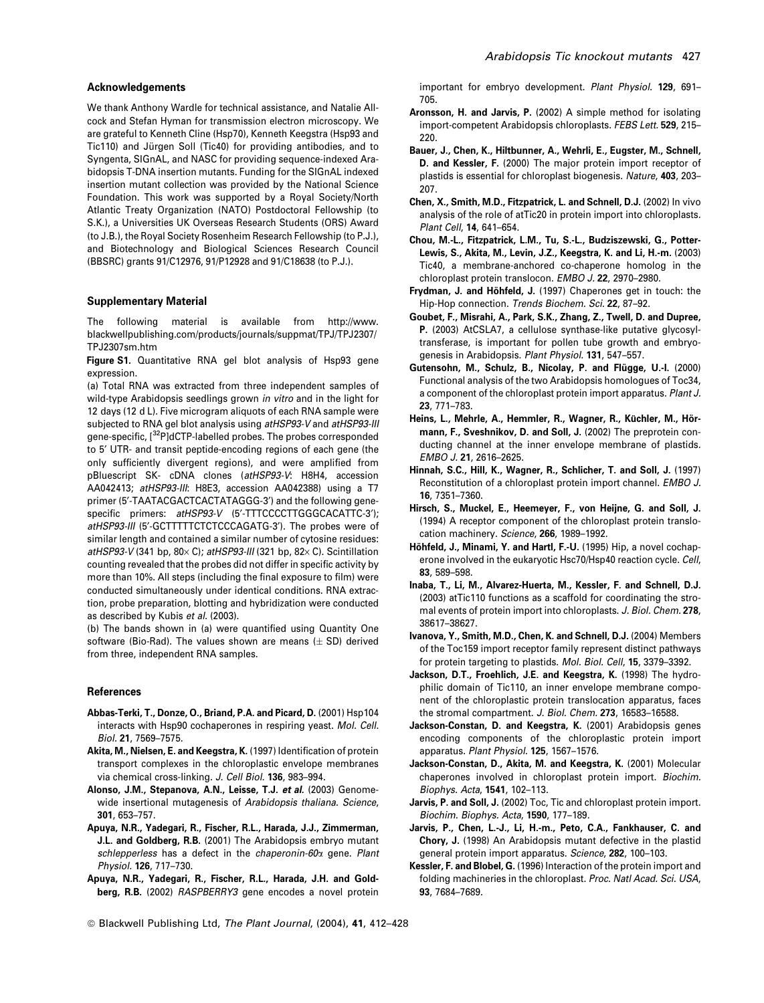#### Acknowledgements

We thank Anthony Wardle for technical assistance, and Natalie Allcock and Stefan Hyman for transmission electron microscopy. We are grateful to Kenneth Cline (Hsp70), Kenneth Keegstra (Hsp93 and Tic110) and Jürgen Soll (Tic40) for providing antibodies, and to Syngenta, SIGnAL, and NASC for providing sequence-indexed Arabidopsis T-DNA insertion mutants. Funding for the SIGnAL indexed insertion mutant collection was provided by the National Science Foundation. This work was supported by a Royal Society/North Atlantic Treaty Organization (NATO) Postdoctoral Fellowship (to S.K.), a Universities UK Overseas Research Students (ORS) Award (to J.B.), the Royal Society Rosenheim Research Fellowship (to P.J.), and Biotechnology and Biological Sciences Research Council (BBSRC) grants 91/C12976, 91/P12928 and 91/C18638 (to P.J.).

#### Supplementary Material

The following material is available from http://www. blackwellpublishing.com/products/journals/suppmat/TPJ/TPJ2307/ TPJ2307sm.htm

Figure S1. Quantitative RNA gel blot analysis of Hsp93 gene expression.

(a) Total RNA was extracted from three independent samples of wild-type Arabidopsis seedlings grown in vitro and in the light for 12 days (12 d L). Five microgram aliquots of each RNA sample were subjected to RNA gel blot analysis using atHSP93-V and atHSP93-III gene-specific, [32P]dCTP-labelled probes. The probes corresponded to 5' UTR- and transit peptide-encoding regions of each gene (the only sufficiently divergent regions), and were amplified from pBluescript SK- cDNA clones (atHSP93-V: H8H4, accession AA042413; atHSP93-III: H8E3, accession AA042388) using a T7 primer (5'-TAATACGACTCACTATAGGG-3') and the following genespecific primers: atHSP93-V (5'-TTTCCCCTTGGGCACATTC-3'); atHSP93-III (5'-GCTTTTTCTCTCCCAGATG-3'). The probes were of similar length and contained a similar number of cytosine residues: atHSP93-V (341 bp, 80 $\times$  C); atHSP93-III (321 bp, 82 $\times$  C). Scintillation counting revealed that the probes did not differ in specific activity by more than 10%. All steps (including the final exposure to film) were conducted simultaneously under identical conditions. RNA extraction, probe preparation, blotting and hybridization were conducted as described by Kubis et al. (2003).

(b) The bands shown in (a) were quantified using Quantity One software (Bio-Rad). The values shown are means  $(\pm SD)$  derived from three, independent RNA samples.

#### References

- Abbas-Terki, T., Donze, O., Briand, P.A. and Picard, D. (2001) Hsp104 interacts with Hsp90 cochaperones in respiring yeast. Mol. Cell. Biol. 21, 7569–7575.
- Akita, M., Nielsen, E. and Keegstra, K. (1997) Identification of protein transport complexes in the chloroplastic envelope membranes via chemical cross-linking. J. Cell Biol. 136, 983–994.
- Alonso, J.M., Stepanova, A.N., Leisse, T.J. et al. (2003) Genomewide insertional mutagenesis of Arabidopsis thaliana. Science, 301, 653–757.
- Apuya, N.R., Yadegari, R., Fischer, R.L., Harada, J.J., Zimmerman, J.L. and Goldberg, R.B. (2001) The Arabidopsis embryo mutant schlepperless has a defect in the chaperonin- $60\alpha$  gene. Plant Physiol. 126, 717–730.
- Apuya, N.R., Yadegari, R., Fischer, R.L., Harada, J.H. and Goldberg, R.B. (2002) RASPBERRY3 gene encodes a novel protein

important for embryo development. Plant Physiol. 129, 691– 705.

- Aronsson, H. and Jarvis, P. (2002) A simple method for isolating import-competent Arabidopsis chloroplasts. FEBS Lett. 529, 215– 220.
- Bauer, J., Chen, K., Hiltbunner, A., Wehrli, E., Eugster, M., Schnell, D. and Kessler, F. (2000) The major protein import receptor of plastids is essential for chloroplast biogenesis. Nature, 403, 203– 207.
- Chen, X., Smith, M.D., Fitzpatrick, L. and Schnell, D.J. (2002) In vivo analysis of the role of atTic20 in protein import into chloroplasts. Plant Cell, 14, 641–654.
- Chou, M.-L., Fitzpatrick, L.M., Tu, S.-L., Budziszewski, G., Potter-Lewis, S., Akita, M., Levin, J.Z., Keegstra, K. and Li, H.-m. (2003) Tic40, a membrane-anchored co-chaperone homolog in the chloroplast protein translocon. EMBO J. 22, 2970–2980.
- Frydman, J. and Höhfeld, J. (1997) Chaperones get in touch: the Hip-Hop connection. Trends Biochem. Sci. 22, 87–92.
- Goubet, F., Misrahi, A., Park, S.K., Zhang, Z., Twell, D. and Dupree, P. (2003) AtCSLA7, a cellulose synthase-like putative glycosyltransferase, is important for pollen tube growth and embryogenesis in Arabidopsis. Plant Physiol. 131, 547-557.
- Gutensohn, M., Schulz, B., Nicolay, P. and Flügge, U.-I. (2000) Functional analysis of the two Arabidopsis homologues of Toc34, a component of the chloroplast protein import apparatus. Plant J. 23, 771–783.
- Heins, L., Mehrle, A., Hemmler, R., Wagner, R., Küchler, M., Hörmann, F., Sveshnikov, D. and Soll, J. (2002) The preprotein conducting channel at the inner envelope membrane of plastids. EMBO J. 21, 2616–2625.
- Hinnah, S.C., Hill, K., Wagner, R., Schlicher, T. and Soll, J. (1997) Reconstitution of a chloroplast protein import channel. EMBO J. 16, 7351–7360.
- Hirsch, S., Muckel, E., Heemeyer, F., von Heijne, G. and Soll, J. (1994) A receptor component of the chloroplast protein translocation machinery. Science, 266, 1989-1992.
- Höhfeld, J., Minami, Y. and Hartl, F.-U. (1995) Hip, a novel cochaperone involved in the eukaryotic Hsc70/Hsp40 reaction cycle. Cell, 83, 589–598.
- Inaba, T., Li, M., Alvarez-Huerta, M., Kessler, F. and Schnell, D.J. (2003) atTic110 functions as a scaffold for coordinating the stromal events of protein import into chloroplasts. J. Biol. Chem. 278, 38617–38627.
- Ivanova, Y., Smith, M.D., Chen, K. and Schnell, D.J. (2004) Members of the Toc159 import receptor family represent distinct pathways for protein targeting to plastids. Mol. Biol. Cell, 15, 3379–3392.
- Jackson, D.T., Froehlich, J.E. and Keegstra, K. (1998) The hydrophilic domain of Tic110, an inner envelope membrane component of the chloroplastic protein translocation apparatus, faces the stromal compartment. J. Biol. Chem. 273, 16583–16588.
- Jackson-Constan, D. and Keegstra, K. (2001) Arabidopsis genes encoding components of the chloroplastic protein import apparatus. Plant Physiol. 125, 1567–1576.
- Jackson-Constan, D., Akita, M. and Keegstra, K. (2001) Molecular chaperones involved in chloroplast protein import. Biochim. Biophys. Acta, 1541, 102–113.
- Jarvis, P. and Soll, J. (2002) Toc, Tic and chloroplast protein import. Biochim. Biophys. Acta, 1590, 177–189.
- Jarvis, P., Chen, L.-J., Li, H.-m., Peto, C.A., Fankhauser, C. and Chory, J. (1998) An Arabidopsis mutant defective in the plastid general protein import apparatus. Science, 282, 100–103.
- Kessler, F. and Blobel, G. (1996) Interaction of the protein import and folding machineries in the chloroplast. Proc. Natl Acad. Sci. USA, 93, 7684–7689.